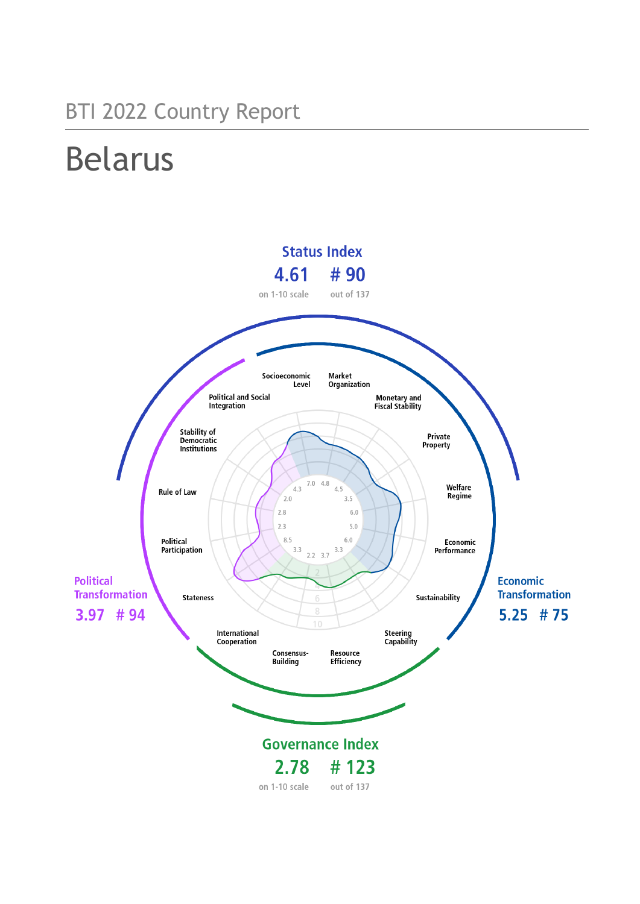## BTI 2022 Country Report

# Belarus

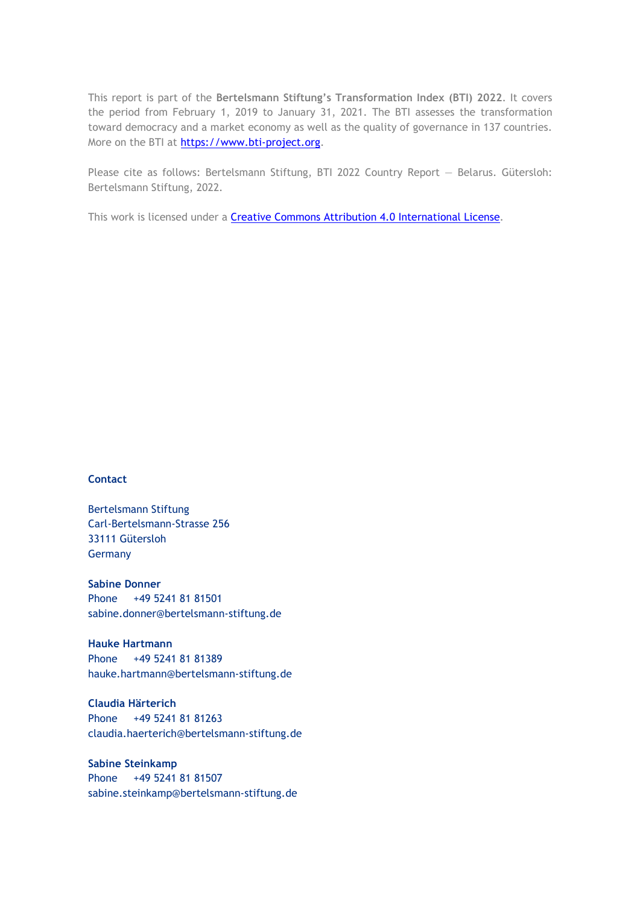This report is part of the **Bertelsmann Stiftung's Transformation Index (BTI) 2022**. It covers the period from February 1, 2019 to January 31, 2021. The BTI assesses the transformation toward democracy and a market economy as well as the quality of governance in 137 countries. More on the BTI at [https://www.bti-project.org.](https://www.bti-project.org/)

Please cite as follows: Bertelsmann Stiftung, BTI 2022 Country Report — Belarus. Gütersloh: Bertelsmann Stiftung, 2022.

This work is licensed under a **Creative Commons Attribution 4.0 International License**.

### **Contact**

Bertelsmann Stiftung Carl-Bertelsmann-Strasse 256 33111 Gütersloh Germany

**Sabine Donner** Phone +49 5241 81 81501 sabine.donner@bertelsmann-stiftung.de

**Hauke Hartmann** Phone +49 5241 81 81389 hauke.hartmann@bertelsmann-stiftung.de

**Claudia Härterich** Phone +49 5241 81 81263 claudia.haerterich@bertelsmann-stiftung.de

### **Sabine Steinkamp** Phone +49 5241 81 81507 sabine.steinkamp@bertelsmann-stiftung.de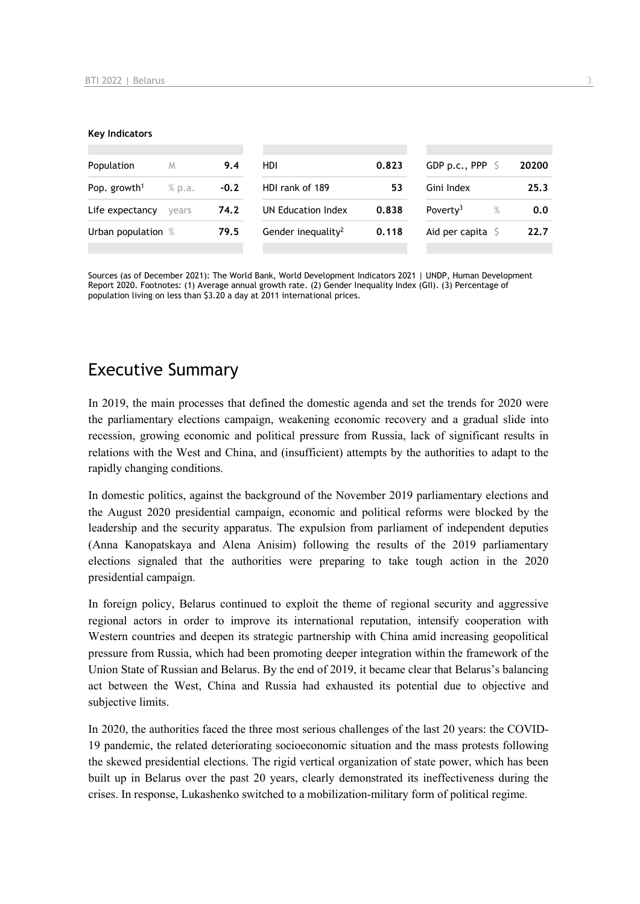#### **Key Indicators**

| Population               | M      | 9.4    | HDI                            | 0.823 | GDP p.c., PPP $\ S$       | 20200 |
|--------------------------|--------|--------|--------------------------------|-------|---------------------------|-------|
| Pop. growth <sup>1</sup> | % p.a. | $-0.2$ | HDI rank of 189                | 53    | Gini Index                | 25.3  |
| Life expectancy          | vears  | 74.2   | UN Education Index             | 0.838 | Poverty <sup>3</sup><br>% | 0.0   |
| Urban population %       |        | 79.5   | Gender inequality <sup>2</sup> | 0.118 | Aid per capita $\sqrt{2}$ | 22.7  |
|                          |        |        |                                |       |                           |       |

Sources (as of December 2021): The World Bank, World Development Indicators 2021 | UNDP, Human Development Report 2020. Footnotes: (1) Average annual growth rate. (2) Gender Inequality Index (GII). (3) Percentage of population living on less than \$3.20 a day at 2011 international prices.

### Executive Summary

In 2019, the main processes that defined the domestic agenda and set the trends for 2020 were the parliamentary elections campaign, weakening economic recovery and a gradual slide into recession, growing economic and political pressure from Russia, lack of significant results in relations with the West and China, and (insufficient) attempts by the authorities to adapt to the rapidly changing conditions.

In domestic politics, against the background of the November 2019 parliamentary elections and the August 2020 presidential campaign, economic and political reforms were blocked by the leadership and the security apparatus. The expulsion from parliament of independent deputies (Anna Kanopatskaya and Alena Anisim) following the results of the 2019 parliamentary elections signaled that the authorities were preparing to take tough action in the 2020 presidential campaign.

In foreign policy, Belarus continued to exploit the theme of regional security and aggressive regional actors in order to improve its international reputation, intensify cooperation with Western countries and deepen its strategic partnership with China amid increasing geopolitical pressure from Russia, which had been promoting deeper integration within the framework of the Union State of Russian and Belarus. By the end of 2019, it became clear that Belarus's balancing act between the West, China and Russia had exhausted its potential due to objective and subjective limits.

In 2020, the authorities faced the three most serious challenges of the last 20 years: the COVID-19 pandemic, the related deteriorating socioeconomic situation and the mass protests following the skewed presidential elections. The rigid vertical organization of state power, which has been built up in Belarus over the past 20 years, clearly demonstrated its ineffectiveness during the crises. In response, Lukashenko switched to a mobilization-military form of political regime.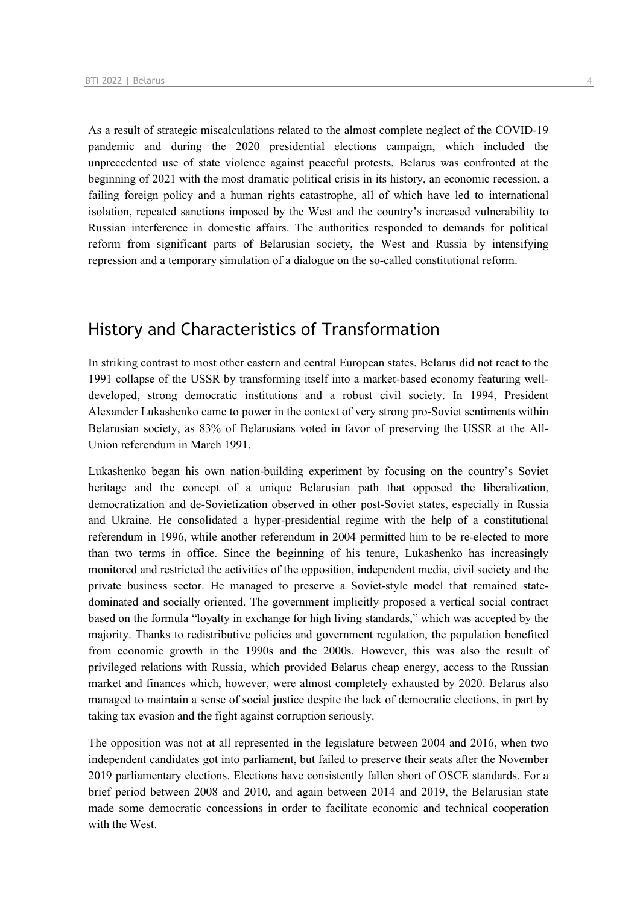As a result of strategic miscalculations related to the almost complete neglect of the COVID-19 pandemic and during the 2020 presidential elections campaign, which included the unprecedented use of state violence against peaceful protests, Belarus was confronted at the beginning of 2021 with the most dramatic political crisis in its history, an economic recession, a failing foreign policy and a human rights catastrophe, all of which have led to international isolation, repeated sanctions imposed by the West and the country's increased vulnerability to Russian interference in domestic affairs. The authorities responded to demands for political reform from significant parts of Belarusian society, the West and Russia by intensifying repression and a temporary simulation of a dialogue on the so-called constitutional reform.

### History and Characteristics of Transformation

In striking contrast to most other eastern and central European states, Belarus did not react to the 1991 collapse of the USSR by transforming itself into a market-based economy featuring welldeveloped, strong democratic institutions and a robust civil society. In 1994, President Alexander Lukashenko came to power in the context of very strong pro-Soviet sentiments within Belarusian society, as 83% of Belarusians voted in favor of preserving the USSR at the All-Union referendum in March 1991.

Lukashenko began his own nation-building experiment by focusing on the country's Soviet heritage and the concept of a unique Belarusian path that opposed the liberalization, democratization and de-Sovietization observed in other post-Soviet states, especially in Russia and Ukraine. He consolidated a hyper-presidential regime with the help of a constitutional referendum in 1996, while another referendum in 2004 permitted him to be re-elected to more than two terms in office. Since the beginning of his tenure, Lukashenko has increasingly monitored and restricted the activities of the opposition, independent media, civil society and the private business sector. He managed to preserve a Soviet-style model that remained statedominated and socially oriented. The government implicitly proposed a vertical social contract based on the formula "loyalty in exchange for high living standards," which was accepted by the majority. Thanks to redistributive policies and government regulation, the population benefited from economic growth in the 1990s and the 2000s. However, this was also the result of privileged relations with Russia, which provided Belarus cheap energy, access to the Russian market and finances which, however, were almost completely exhausted by 2020. Belarus also managed to maintain a sense of social justice despite the lack of democratic elections, in part by taking tax evasion and the fight against corruption seriously.

The opposition was not at all represented in the legislature between 2004 and 2016, when two independent candidates got into parliament, but failed to preserve their seats after the November 2019 parliamentary elections. Elections have consistently fallen short of OSCE standards. For a brief period between 2008 and 2010, and again between 2014 and 2019, the Belarusian state made some democratic concessions in order to facilitate economic and technical cooperation with the West.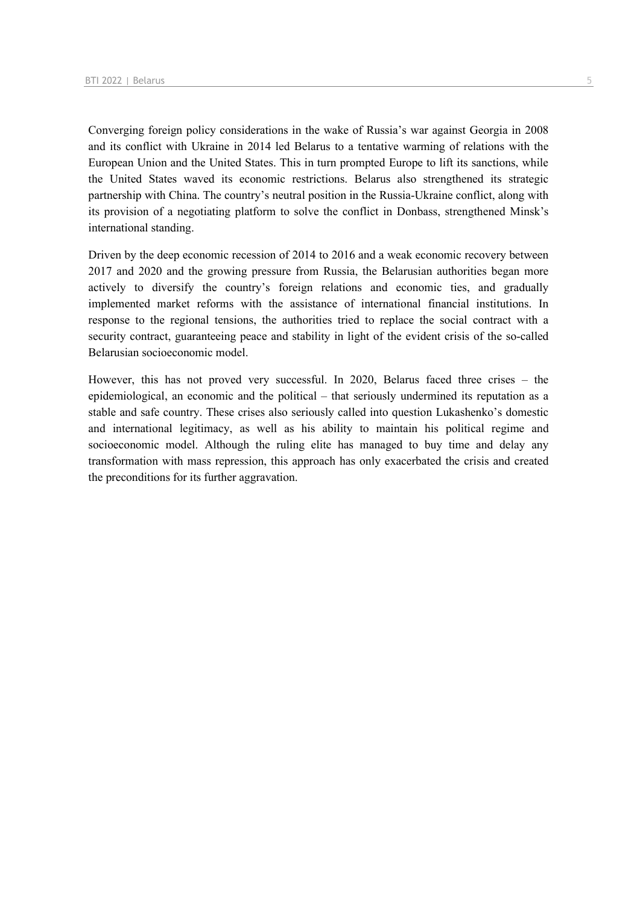Converging foreign policy considerations in the wake of Russia's war against Georgia in 2008 and its conflict with Ukraine in 2014 led Belarus to a tentative warming of relations with the European Union and the United States. This in turn prompted Europe to lift its sanctions, while the United States waved its economic restrictions. Belarus also strengthened its strategic partnership with China. The country's neutral position in the Russia-Ukraine conflict, along with its provision of a negotiating platform to solve the conflict in Donbass, strengthened Minsk's international standing.

Driven by the deep economic recession of 2014 to 2016 and a weak economic recovery between 2017 and 2020 and the growing pressure from Russia, the Belarusian authorities began more actively to diversify the country's foreign relations and economic ties, and gradually implemented market reforms with the assistance of international financial institutions. In response to the regional tensions, the authorities tried to replace the social contract with a security contract, guaranteeing peace and stability in light of the evident crisis of the so-called Belarusian socioeconomic model.

However, this has not proved very successful. In 2020, Belarus faced three crises – the epidemiological, an economic and the political – that seriously undermined its reputation as a stable and safe country. These crises also seriously called into question Lukashenko's domestic and international legitimacy, as well as his ability to maintain his political regime and socioeconomic model. Although the ruling elite has managed to buy time and delay any transformation with mass repression, this approach has only exacerbated the crisis and created the preconditions for its further aggravation.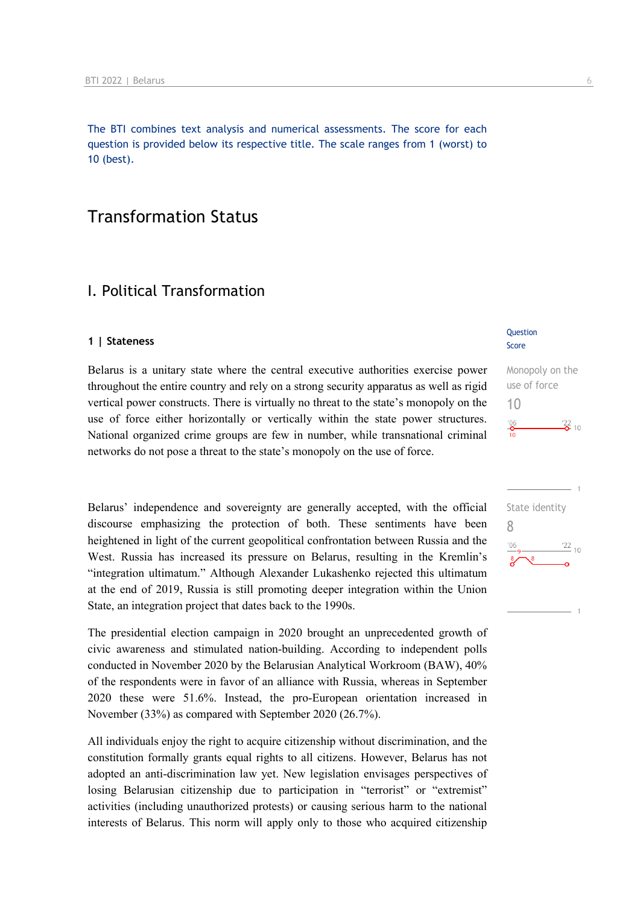The BTI combines text analysis and numerical assessments. The score for each question is provided below its respective title. The scale ranges from 1 (worst) to 10 (best).

### Transformation Status

### I. Political Transformation

#### **1 | Stateness**

Belarus is a unitary state where the central executive authorities exercise power throughout the entire country and rely on a strong security apparatus as well as rigid vertical power constructs. There is virtually no threat to the state's monopoly on the use of force either horizontally or vertically within the state power structures. National organized crime groups are few in number, while transnational criminal networks do not pose a threat to the state's monopoly on the use of force.

Belarus' independence and sovereignty are generally accepted, with the official discourse emphasizing the protection of both. These sentiments have been heightened in light of the current geopolitical confrontation between Russia and the West. Russia has increased its pressure on Belarus, resulting in the Kremlin's "integration ultimatum." Although Alexander Lukashenko rejected this ultimatum at the end of 2019, Russia is still promoting deeper integration within the Union State, an integration project that dates back to the 1990s.

The presidential election campaign in 2020 brought an unprecedented growth of civic awareness and stimulated nation-building. According to independent polls conducted in November 2020 by the Belarusian Analytical Workroom (BAW), 40% of the respondents were in favor of an alliance with Russia, whereas in September 2020 these were 51.6%. Instead, the pro-European orientation increased in November (33%) as compared with September 2020 (26.7%).

All individuals enjoy the right to acquire citizenship without discrimination, and the constitution formally grants equal rights to all citizens. However, Belarus has not adopted an anti-discrimination law yet. New legislation envisages perspectives of losing Belarusian citizenship due to participation in "terrorist" or "extremist" activities (including unauthorized protests) or causing serious harm to the national interests of Belarus. This norm will apply only to those who acquired citizenship

#### **Question** Score

### Monopoly on the use of force 10  $\frac{22}{2}$  10  $\frac{106}{\mathbf{0}}$

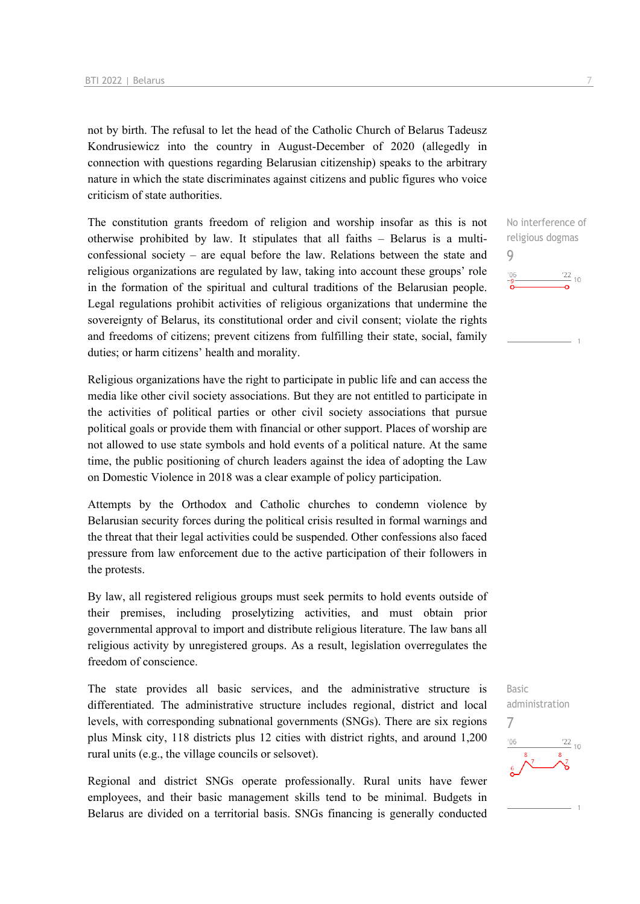not by birth. The refusal to let the head of the Catholic Church of Belarus Tadeusz Kondrusiewicz into the country in August-December of 2020 (allegedly in connection with questions regarding Belarusian citizenship) speaks to the arbitrary nature in which the state discriminates against citizens and public figures who voice criticism of state authorities.

The constitution grants freedom of religion and worship insofar as this is not otherwise prohibited by law. It stipulates that all faiths – Belarus is a multiconfessional society – are equal before the law. Relations between the state and religious organizations are regulated by law, taking into account these groups' role in the formation of the spiritual and cultural traditions of the Belarusian people. Legal regulations prohibit activities of religious organizations that undermine the sovereignty of Belarus, its constitutional order and civil consent; violate the rights and freedoms of citizens; prevent citizens from fulfilling their state, social, family duties; or harm citizens' health and morality.

Religious organizations have the right to participate in public life and can access the media like other civil society associations. But they are not entitled to participate in the activities of political parties or other civil society associations that pursue political goals or provide them with financial or other support. Places of worship are not allowed to use state symbols and hold events of a political nature. At the same time, the public positioning of church leaders against the idea of adopting the Law on Domestic Violence in 2018 was a clear example of policy participation.

Attempts by the Orthodox and Catholic churches to condemn violence by Belarusian security forces during the political crisis resulted in formal warnings and the threat that their legal activities could be suspended. Other confessions also faced pressure from law enforcement due to the active participation of their followers in the protests.

By law, all registered religious groups must seek permits to hold events outside of their premises, including proselytizing activities, and must obtain prior governmental approval to import and distribute religious literature. The law bans all religious activity by unregistered groups. As a result, legislation overregulates the freedom of conscience.

The state provides all basic services, and the administrative structure is differentiated. The administrative structure includes regional, district and local levels, with corresponding subnational governments (SNGs). There are six regions plus Minsk city, 118 districts plus 12 cities with district rights, and around 1,200 rural units (e.g., the village councils or selsovet).

Regional and district SNGs operate professionally. Rural units have fewer employees, and their basic management skills tend to be minimal. Budgets in Belarus are divided on a territorial basis. SNGs financing is generally conducted

No interference of religious dogmas 9  $\frac{22}{10}$  $^{\prime}06$ 

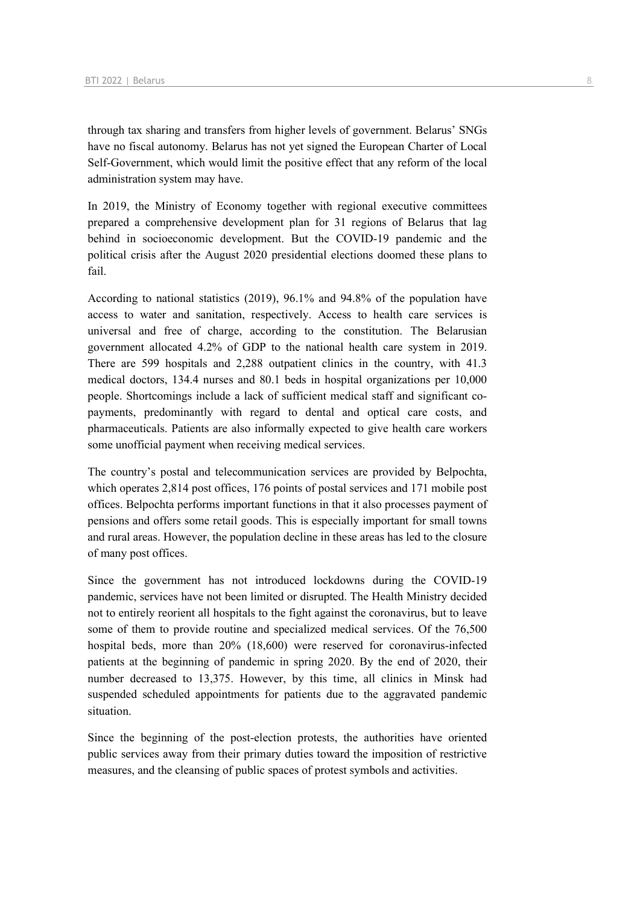through tax sharing and transfers from higher levels of government. Belarus' SNGs have no fiscal autonomy. Belarus has not yet signed the European Charter of Local Self-Government, which would limit the positive effect that any reform of the local administration system may have.

In 2019, the Ministry of Economy together with regional executive committees prepared a comprehensive development plan for 31 regions of Belarus that lag behind in socioeconomic development. But the COVID-19 pandemic and the political crisis after the August 2020 presidential elections doomed these plans to fail.

According to national statistics (2019), 96.1% and 94.8% of the population have access to water and sanitation, respectively. Access to health care services is universal and free of charge, according to the constitution. The Belarusian government allocated 4.2% of GDP to the national health care system in 2019. There are 599 hospitals and 2,288 outpatient clinics in the country, with 41.3 medical doctors, 134.4 nurses and 80.1 beds in hospital organizations per 10,000 people. Shortcomings include a lack of sufficient medical staff and significant copayments, predominantly with regard to dental and optical care costs, and pharmaceuticals. Patients are also informally expected to give health care workers some unofficial payment when receiving medical services.

The country's postal and telecommunication services are provided by Belpochta, which operates 2,814 post offices, 176 points of postal services and 171 mobile post offices. Belpochta performs important functions in that it also processes payment of pensions and offers some retail goods. This is especially important for small towns and rural areas. However, the population decline in these areas has led to the closure of many post offices.

Since the government has not introduced lockdowns during the COVID-19 pandemic, services have not been limited or disrupted. The Health Ministry decided not to entirely reorient all hospitals to the fight against the coronavirus, but to leave some of them to provide routine and specialized medical services. Of the 76,500 hospital beds, more than 20% (18,600) were reserved for coronavirus-infected patients at the beginning of pandemic in spring 2020. By the end of 2020, their number decreased to 13,375. However, by this time, all clinics in Minsk had suspended scheduled appointments for patients due to the aggravated pandemic situation.

Since the beginning of the post-election protests, the authorities have oriented public services away from their primary duties toward the imposition of restrictive measures, and the cleansing of public spaces of protest symbols and activities.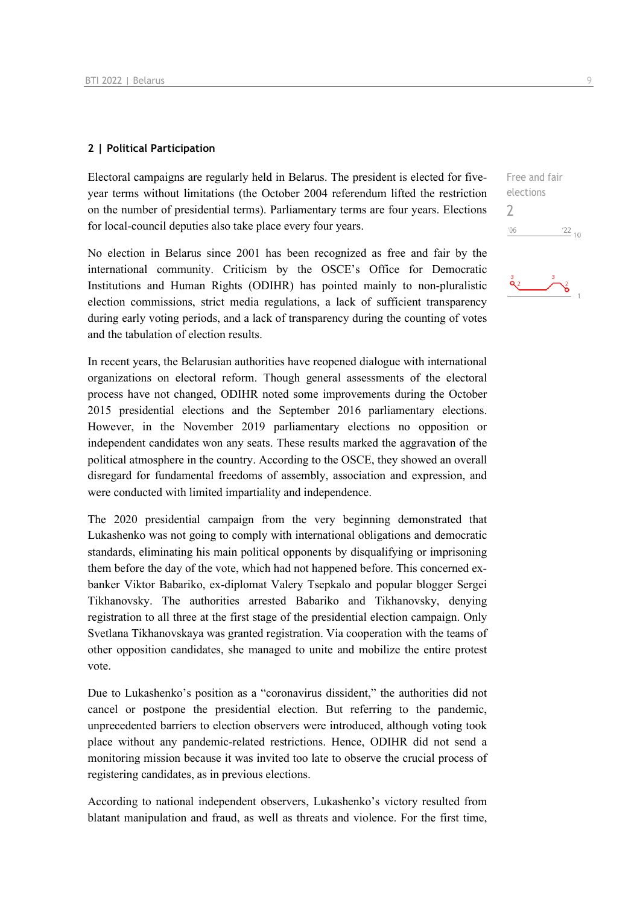### **2 | Political Participation**

Electoral campaigns are regularly held in Belarus. The president is elected for fiveyear terms without limitations (the October 2004 referendum lifted the restriction on the number of presidential terms). Parliamentary terms are four years. Elections for local-council deputies also take place every four years.

No election in Belarus since 2001 has been recognized as free and fair by the international community. Criticism by the OSCE's Office for Democratic Institutions and Human Rights (ODIHR) has pointed mainly to non-pluralistic election commissions, strict media regulations, a lack of sufficient transparency during early voting periods, and a lack of transparency during the counting of votes and the tabulation of election results.

In recent years, the Belarusian authorities have reopened dialogue with international organizations on electoral reform. Though general assessments of the electoral process have not changed, ODIHR noted some improvements during the October 2015 presidential elections and the September 2016 parliamentary elections. However, in the November 2019 parliamentary elections no opposition or independent candidates won any seats. These results marked the aggravation of the political atmosphere in the country. According to the OSCE, they showed an overall disregard for fundamental freedoms of assembly, association and expression, and were conducted with limited impartiality and independence.

The 2020 presidential campaign from the very beginning demonstrated that Lukashenko was not going to comply with international obligations and democratic standards, eliminating his main political opponents by disqualifying or imprisoning them before the day of the vote, which had not happened before. This concerned exbanker Viktor Babariko, ex-diplomat Valery Tsepkalo and popular blogger Sergei Tikhanovsky. The authorities arrested Babariko and Tikhanovsky, denying registration to all three at the first stage of the presidential election campaign. Only Svetlana Tikhanovskaya was granted registration. Via cooperation with the teams of other opposition candidates, she managed to unite and mobilize the entire protest vote.

Due to Lukashenko's position as a "coronavirus dissident," the authorities did not cancel or postpone the presidential election. But referring to the pandemic, unprecedented barriers to election observers were introduced, although voting took place without any pandemic-related restrictions. Hence, ODIHR did not send a monitoring mission because it was invited too late to observe the crucial process of registering candidates, as in previous elections.

According to national independent observers, Lukashenko's victory resulted from blatant manipulation and fraud, as well as threats and violence. For the first time, Free and fair elections

 $\frac{22}{10}$ 

2 $06'$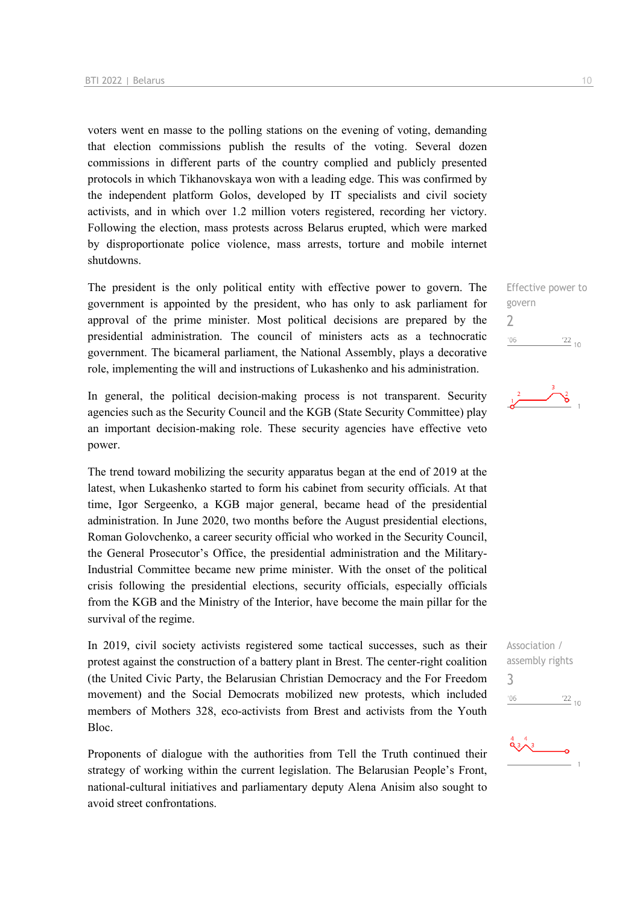voters went en masse to the polling stations on the evening of voting, demanding that election commissions publish the results of the voting. Several dozen commissions in different parts of the country complied and publicly presented protocols in which Tikhanovskaya won with a leading edge. This was confirmed by the independent platform Golos, developed by IT specialists and civil society activists, and in which over 1.2 million voters registered, recording her victory. Following the election, mass protests across Belarus erupted, which were marked by disproportionate police violence, mass arrests, torture and mobile internet shutdowns.

The president is the only political entity with effective power to govern. The government is appointed by the president, who has only to ask parliament for approval of the prime minister. Most political decisions are prepared by the presidential administration. The council of ministers acts as a technocratic government. The bicameral parliament, the National Assembly, plays a decorative role, implementing the will and instructions of Lukashenko and his administration.

In general, the political decision-making process is not transparent. Security agencies such as the Security Council and the KGB (State Security Committee) play an important decision-making role. These security agencies have effective veto power.

The trend toward mobilizing the security apparatus began at the end of 2019 at the latest, when Lukashenko started to form his cabinet from security officials. At that time, Igor Sergeenko, a KGB major general, became head of the presidential administration. In June 2020, two months before the August presidential elections, Roman Golovchenko, a career security official who worked in the Security Council, the General Prosecutor's Office, the presidential administration and the Military-Industrial Committee became new prime minister. With the onset of the political crisis following the presidential elections, security officials, especially officials from the KGB and the Ministry of the Interior, have become the main pillar for the survival of the regime.

In 2019, civil society activists registered some tactical successes, such as their protest against the construction of a battery plant in Brest. The center-right coalition (the United Civic Party, the Belarusian Christian Democracy and the For Freedom movement) and the Social Democrats mobilized new protests, which included members of Mothers 328, eco-activists from Brest and activists from the Youth Bloc.

Proponents of dialogue with the authorities from Tell the Truth continued their strategy of working within the current legislation. The Belarusian People's Front, national-cultural initiatives and parliamentary deputy Alena Anisim also sought to avoid street confrontations.

Effective power to govern 2  $\frac{22}{10}$  $'06$ 



Association / assembly rights 3 $06'$  $\frac{22}{10}$ 

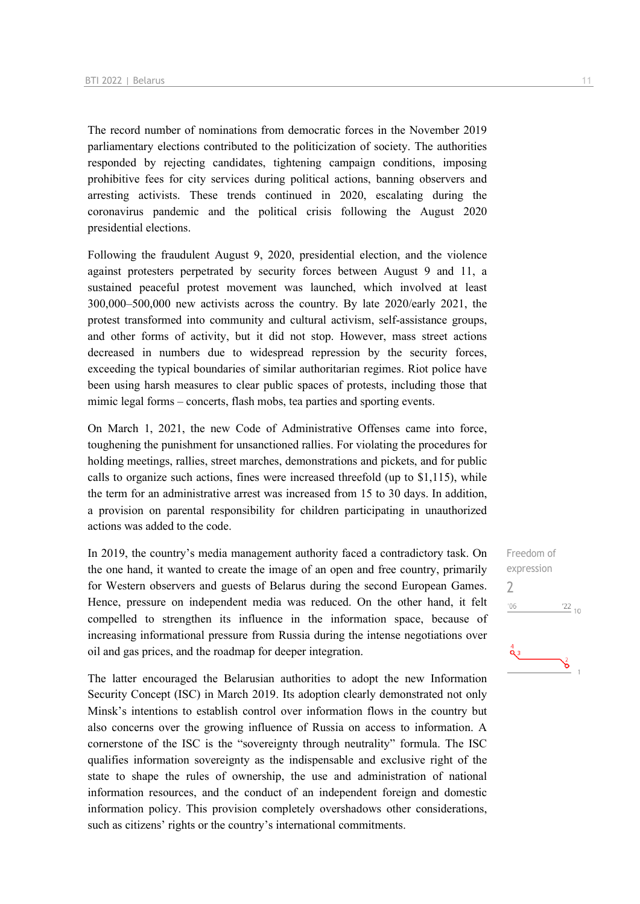The record number of nominations from democratic forces in the November 2019 parliamentary elections contributed to the politicization of society. The authorities responded by rejecting candidates, tightening campaign conditions, imposing prohibitive fees for city services during political actions, banning observers and arresting activists. These trends continued in 2020, escalating during the coronavirus pandemic and the political crisis following the August 2020 presidential elections.

Following the fraudulent August 9, 2020, presidential election, and the violence against protesters perpetrated by security forces between August 9 and 11, a sustained peaceful protest movement was launched, which involved at least 300,000–500,000 new activists across the country. By late 2020/early 2021, the protest transformed into community and cultural activism, self-assistance groups, and other forms of activity, but it did not stop. However, mass street actions decreased in numbers due to widespread repression by the security forces, exceeding the typical boundaries of similar authoritarian regimes. Riot police have been using harsh measures to clear public spaces of protests, including those that mimic legal forms – concerts, flash mobs, tea parties and sporting events.

On March 1, 2021, the new Code of Administrative Offenses came into force, toughening the punishment for unsanctioned rallies. For violating the procedures for holding meetings, rallies, street marches, demonstrations and pickets, and for public calls to organize such actions, fines were increased threefold (up to \$1,115), while the term for an administrative arrest was increased from 15 to 30 days. In addition, a provision on parental responsibility for children participating in unauthorized actions was added to the code.

In 2019, the country's media management authority faced a contradictory task. On the one hand, it wanted to create the image of an open and free country, primarily for Western observers and guests of Belarus during the second European Games. Hence, pressure on independent media was reduced. On the other hand, it felt compelled to strengthen its influence in the information space, because of increasing informational pressure from Russia during the intense negotiations over oil and gas prices, and the roadmap for deeper integration.

The latter encouraged the Belarusian authorities to adopt the new Information Security Concept (ISC) in March 2019. Its adoption clearly demonstrated not only Minsk's intentions to establish control over information flows in the country but also concerns over the growing influence of Russia on access to information. A cornerstone of the ISC is the "sovereignty through neutrality" formula. The ISC qualifies information sovereignty as the indispensable and exclusive right of the state to shape the rules of ownership, the use and administration of national information resources, and the conduct of an independent foreign and domestic information policy. This provision completely overshadows other considerations, such as citizens' rights or the country's international commitments.

Freedom of expression 2 $^{\prime}06$  $\frac{22}{10}$  $\frac{4}{9}$ ఠ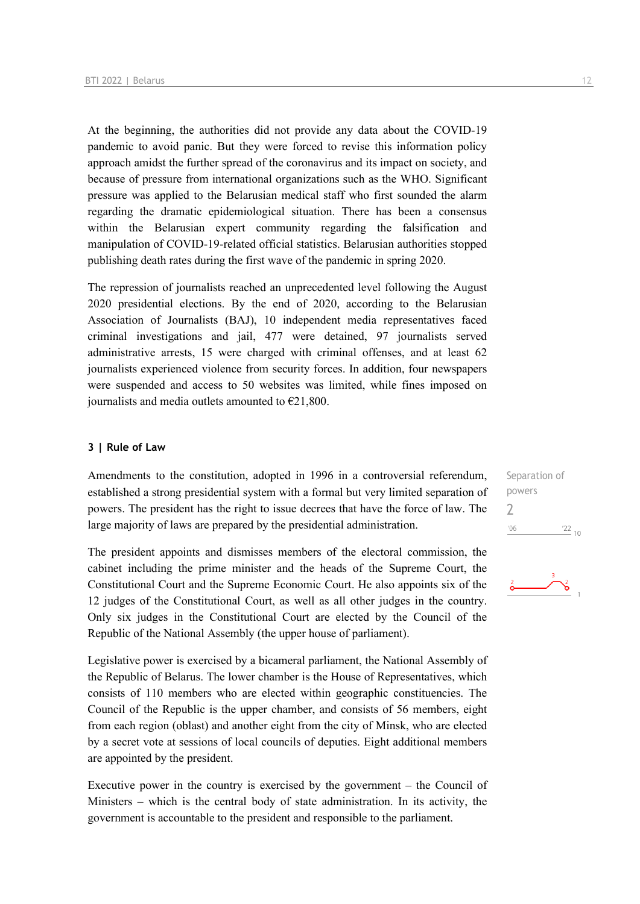At the beginning, the authorities did not provide any data about the COVID-19 pandemic to avoid panic. But they were forced to revise this information policy approach amidst the further spread of the coronavirus and its impact on society, and because of pressure from international organizations such as the WHO. Significant pressure was applied to the Belarusian medical staff who first sounded the alarm regarding the dramatic epidemiological situation. There has been a consensus within the Belarusian expert community regarding the falsification and manipulation of COVID-19-related official statistics. Belarusian authorities stopped publishing death rates during the first wave of the pandemic in spring 2020.

The repression of journalists reached an unprecedented level following the August 2020 presidential elections. By the end of 2020, according to the Belarusian Association of Journalists (BAJ), 10 independent media representatives faced criminal investigations and jail, 477 were detained, 97 journalists served administrative arrests, 15 were charged with criminal offenses, and at least 62 journalists experienced violence from security forces. In addition, four newspapers were suspended and access to 50 websites was limited, while fines imposed on journalists and media outlets amounted to  $E21,800$ .

### **3 | Rule of Law**

Amendments to the constitution, adopted in 1996 in a controversial referendum, established a strong presidential system with a formal but very limited separation of powers. The president has the right to issue decrees that have the force of law. The large majority of laws are prepared by the presidential administration.

The president appoints and dismisses members of the electoral commission, the cabinet including the prime minister and the heads of the Supreme Court, the Constitutional Court and the Supreme Economic Court. He also appoints six of the 12 judges of the Constitutional Court, as well as all other judges in the country. Only six judges in the Constitutional Court are elected by the Council of the Republic of the National Assembly (the upper house of parliament).

Legislative power is exercised by a bicameral parliament, the National Assembly of the Republic of Belarus. The lower chamber is the House of Representatives, which consists of 110 members who are elected within geographic constituencies. The Council of the Republic is the upper chamber, and consists of 56 members, eight from each region (oblast) and another eight from the city of Minsk, who are elected by a secret vote at sessions of local councils of deputies. Eight additional members are appointed by the president.

Executive power in the country is exercised by the government – the Council of Ministers – which is the central body of state administration. In its activity, the government is accountable to the president and responsible to the parliament.

Separation of powers 2 $'06$  $\frac{22}{10}$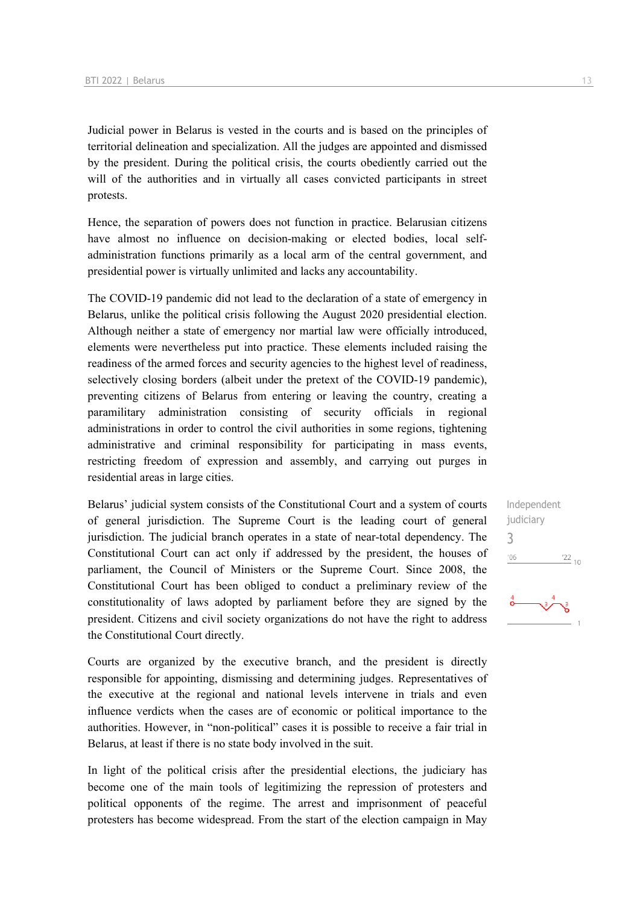Judicial power in Belarus is vested in the courts and is based on the principles of territorial delineation and specialization. All the judges are appointed and dismissed by the president. During the political crisis, the courts obediently carried out the will of the authorities and in virtually all cases convicted participants in street protests.

Hence, the separation of powers does not function in practice. Belarusian citizens have almost no influence on decision-making or elected bodies, local selfadministration functions primarily as a local arm of the central government, and presidential power is virtually unlimited and lacks any accountability.

The COVID-19 pandemic did not lead to the declaration of a state of emergency in Belarus, unlike the political crisis following the August 2020 presidential election. Although neither a state of emergency nor martial law were officially introduced, elements were nevertheless put into practice. These elements included raising the readiness of the armed forces and security agencies to the highest level of readiness, selectively closing borders (albeit under the pretext of the COVID-19 pandemic), preventing citizens of Belarus from entering or leaving the country, creating a paramilitary administration consisting of security officials in regional administrations in order to control the civil authorities in some regions, tightening administrative and criminal responsibility for participating in mass events, restricting freedom of expression and assembly, and carrying out purges in residential areas in large cities.

Belarus' judicial system consists of the Constitutional Court and a system of courts of general jurisdiction. The Supreme Court is the leading court of general jurisdiction. The judicial branch operates in a state of near-total dependency. The Constitutional Court can act only if addressed by the president, the houses of parliament, the Council of Ministers or the Supreme Court. Since 2008, the Constitutional Court has been obliged to conduct a preliminary review of the constitutionality of laws adopted by parliament before they are signed by the president. Citizens and civil society organizations do not have the right to address the Constitutional Court directly.

Courts are organized by the executive branch, and the president is directly responsible for appointing, dismissing and determining judges. Representatives of the executive at the regional and national levels intervene in trials and even influence verdicts when the cases are of economic or political importance to the authorities. However, in "non-political" cases it is possible to receive a fair trial in Belarus, at least if there is no state body involved in the suit.

In light of the political crisis after the presidential elections, the judiciary has become one of the main tools of legitimizing the repression of protesters and political opponents of the regime. The arrest and imprisonment of peaceful protesters has become widespread. From the start of the election campaign in May Independent judiciary 3 $^{\prime}06$  $\frac{22}{10}$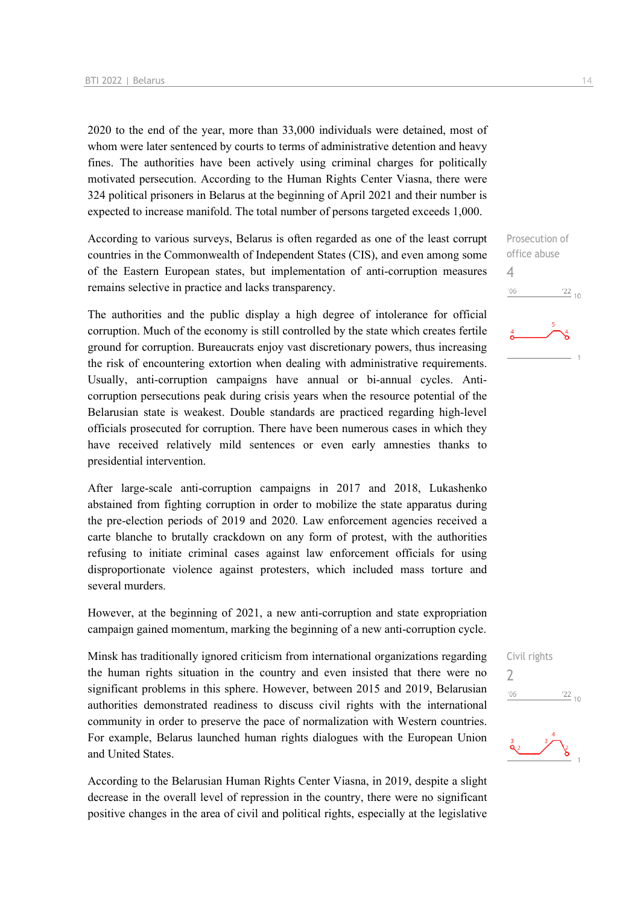2020 to the end of the year, more than 33,000 individuals were detained, most of whom were later sentenced by courts to terms of administrative detention and heavy fines. The authorities have been actively using criminal charges for politically motivated persecution. According to the Human Rights Center Viasna, there were 324 political prisoners in Belarus at the beginning of April 2021 and their number is expected to increase manifold. The total number of persons targeted exceeds 1,000.

According to various surveys, Belarus is often regarded as one of the least corrupt countries in the Commonwealth of Independent States (CIS), and even among some of the Eastern European states, but implementation of anti-corruption measures remains selective in practice and lacks transparency.

The authorities and the public display a high degree of intolerance for official corruption. Much of the economy is still controlled by the state which creates fertile ground for corruption. Bureaucrats enjoy vast discretionary powers, thus increasing the risk of encountering extortion when dealing with administrative requirements. Usually, anti-corruption campaigns have annual or bi-annual cycles. Anticorruption persecutions peak during crisis years when the resource potential of the Belarusian state is weakest. Double standards are practiced regarding high-level officials prosecuted for corruption. There have been numerous cases in which they have received relatively mild sentences or even early amnesties thanks to presidential intervention.

After large-scale anti-corruption campaigns in 2017 and 2018, Lukashenko abstained from fighting corruption in order to mobilize the state apparatus during the pre-election periods of 2019 and 2020. Law enforcement agencies received a carte blanche to brutally crackdown on any form of protest, with the authorities refusing to initiate criminal cases against law enforcement officials for using disproportionate violence against protesters, which included mass torture and several murders.

However, at the beginning of 2021, a new anti-corruption and state expropriation campaign gained momentum, marking the beginning of a new anti-corruption cycle.

Minsk has traditionally ignored criticism from international organizations regarding the human rights situation in the country and even insisted that there were no significant problems in this sphere. However, between 2015 and 2019, Belarusian authorities demonstrated readiness to discuss civil rights with the international community in order to preserve the pace of normalization with Western countries. For example, Belarus launched human rights dialogues with the European Union and United States.

According to the Belarusian Human Rights Center Viasna, in 2019, despite a slight decrease in the overall level of repression in the country, there were no significant positive changes in the area of civil and political rights, especially at the legislative

Prosecution of office abuse 4  $-06$  $\frac{22}{10}$ 

Civil rights

 $\overline{\phantom{0}}$ 



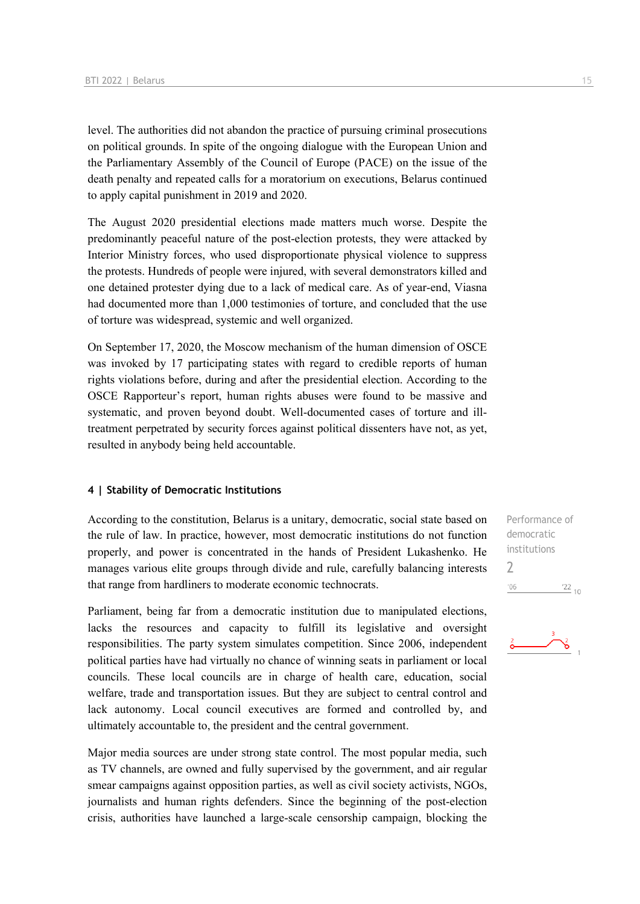level. The authorities did not abandon the practice of pursuing criminal prosecutions on political grounds. In spite of the ongoing dialogue with the European Union and the Parliamentary Assembly of the Council of Europe (PACE) on the issue of the death penalty and repeated calls for a moratorium on executions, Belarus continued to apply capital punishment in 2019 and 2020.

The August 2020 presidential elections made matters much worse. Despite the predominantly peaceful nature of the post-election protests, they were attacked by Interior Ministry forces, who used disproportionate physical violence to suppress the protests. Hundreds of people were injured, with several demonstrators killed and one detained protester dying due to a lack of medical care. As of year-end, Viasna had documented more than 1,000 testimonies of torture, and concluded that the use of torture was widespread, systemic and well organized.

On September 17, 2020, the Moscow mechanism of the human dimension of OSCE was invoked by 17 participating states with regard to credible reports of human rights violations before, during and after the presidential election. According to the OSCE Rapporteur's report, human rights abuses were found to be massive and systematic, and proven beyond doubt. Well-documented cases of torture and illtreatment perpetrated by security forces against political dissenters have not, as yet, resulted in anybody being held accountable.

#### **4 | Stability of Democratic Institutions**

According to the constitution, Belarus is a unitary, democratic, social state based on the rule of law. In practice, however, most democratic institutions do not function properly, and power is concentrated in the hands of President Lukashenko. He manages various elite groups through divide and rule, carefully balancing interests that range from hardliners to moderate economic technocrats.

Parliament, being far from a democratic institution due to manipulated elections, lacks the resources and capacity to fulfill its legislative and oversight responsibilities. The party system simulates competition. Since 2006, independent political parties have had virtually no chance of winning seats in parliament or local councils. These local councils are in charge of health care, education, social welfare, trade and transportation issues. But they are subject to central control and lack autonomy. Local council executives are formed and controlled by, and ultimately accountable to, the president and the central government.

Major media sources are under strong state control. The most popular media, such as TV channels, are owned and fully supervised by the government, and air regular smear campaigns against opposition parties, as well as civil society activists, NGOs, journalists and human rights defenders. Since the beginning of the post-election crisis, authorities have launched a large-scale censorship campaign, blocking the Performance of democratic institutions 2 $'06$  $\frac{22}{10}$ 

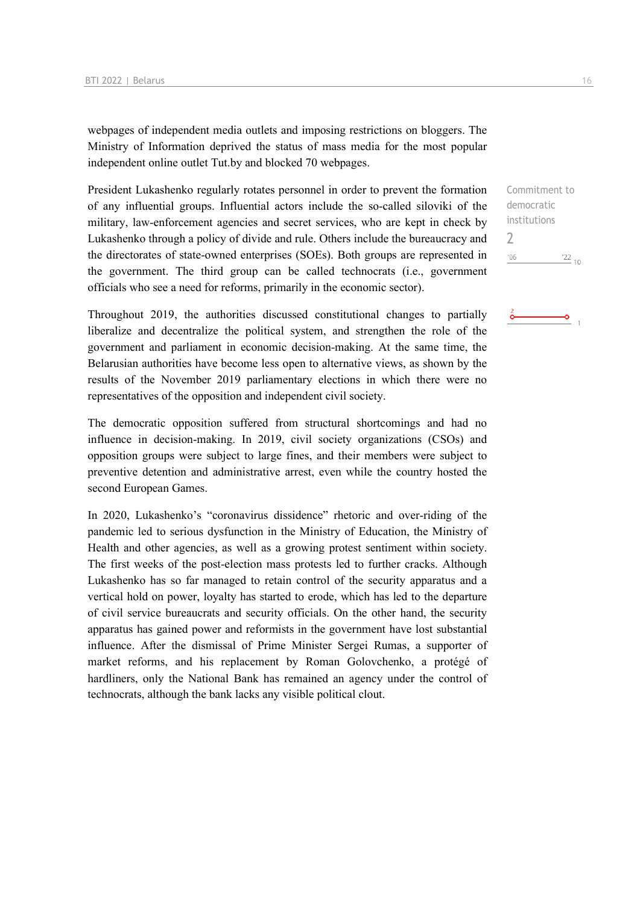webpages of independent media outlets and imposing restrictions on bloggers. The Ministry of Information deprived the status of mass media for the most popular independent online outlet Tut.by and blocked 70 webpages.

President Lukashenko regularly rotates personnel in order to prevent the formation of any influential groups. Influential actors include the so-called siloviki of the military, law-enforcement agencies and secret services, who are kept in check by Lukashenko through a policy of divide and rule. Others include the bureaucracy and the directorates of state-owned enterprises (SOEs). Both groups are represented in the government. The third group can be called technocrats (i.e., government officials who see a need for reforms, primarily in the economic sector).

Throughout 2019, the authorities discussed constitutional changes to partially liberalize and decentralize the political system, and strengthen the role of the government and parliament in economic decision-making. At the same time, the Belarusian authorities have become less open to alternative views, as shown by the results of the November 2019 parliamentary elections in which there were no representatives of the opposition and independent civil society.

The democratic opposition suffered from structural shortcomings and had no influence in decision-making. In 2019, civil society organizations (CSOs) and opposition groups were subject to large fines, and their members were subject to preventive detention and administrative arrest, even while the country hosted the second European Games.

In 2020, Lukashenko's "coronavirus dissidence" rhetoric and over-riding of the pandemic led to serious dysfunction in the Ministry of Education, the Ministry of Health and other agencies, as well as a growing protest sentiment within society. The first weeks of the post-election mass protests led to further cracks. Although Lukashenko has so far managed to retain control of the security apparatus and a vertical hold on power, loyalty has started to erode, which has led to the departure of civil service bureaucrats and security officials. On the other hand, the security apparatus has gained power and reformists in the government have lost substantial influence. After the dismissal of Prime Minister Sergei Rumas, a supporter of market reforms, and his replacement by Roman Golovchenko, a protégé of hardliners, only the National Bank has remained an agency under the control of technocrats, although the bank lacks any visible political clout.

Commitment to democratic institutions  $\overline{\phantom{0}}$  $'06$  $\frac{22}{10}$ 

-o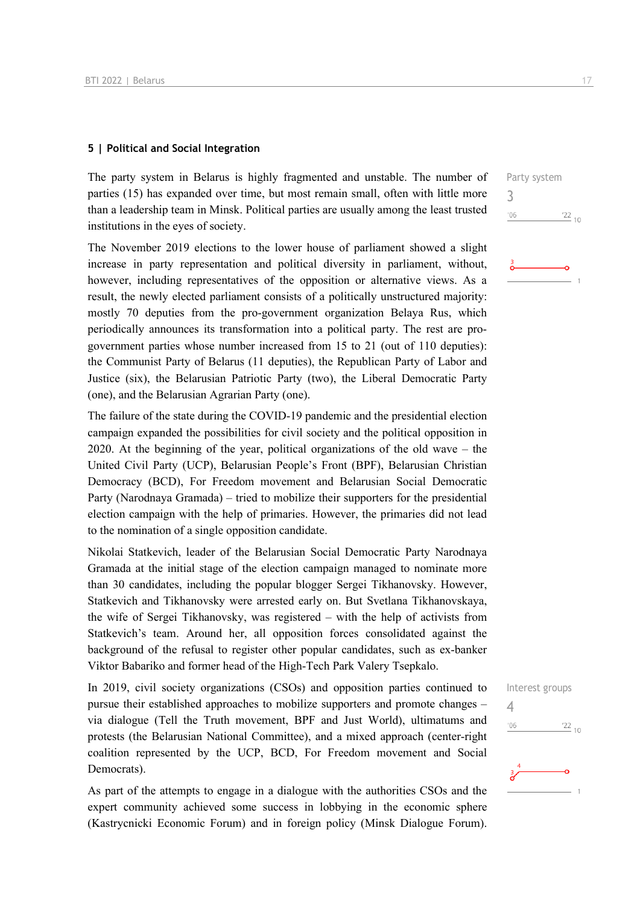### **5 | Political and Social Integration**

The party system in Belarus is highly fragmented and unstable. The number of parties (15) has expanded over time, but most remain small, often with little more than a leadership team in Minsk. Political parties are usually among the least trusted institutions in the eyes of society.

The November 2019 elections to the lower house of parliament showed a slight increase in party representation and political diversity in parliament, without, however, including representatives of the opposition or alternative views. As a result, the newly elected parliament consists of a politically unstructured majority: mostly 70 deputies from the pro-government organization Belaya Rus, which periodically announces its transformation into a political party. The rest are progovernment parties whose number increased from 15 to 21 (out of 110 deputies): the Communist Party of Belarus (11 deputies), the Republican Party of Labor and Justice (six), the Belarusian Patriotic Party (two), the Liberal Democratic Party (one), and the Belarusian Agrarian Party (one).

The failure of the state during the COVID-19 pandemic and the presidential election campaign expanded the possibilities for civil society and the political opposition in 2020. At the beginning of the year, political organizations of the old wave – the United Civil Party (UCP), Belarusian People's Front (BPF), Belarusian Christian Democracy (BCD), For Freedom movement and Belarusian Social Democratic Party (Narodnaya Gramada) – tried to mobilize their supporters for the presidential election campaign with the help of primaries. However, the primaries did not lead to the nomination of a single opposition candidate.

Nikolai Statkevich, leader of the Belarusian Social Democratic Party Narodnaya Gramada at the initial stage of the election campaign managed to nominate more than 30 candidates, including the popular blogger Sergei Tikhanovsky. However, Statkevich and Tikhanovsky were arrested early on. But Svetlana Tikhanovskaya, the wife of Sergei Tikhanovsky, was registered – with the help of activists from Statkevich's team. Around her, all opposition forces consolidated against the background of the refusal to register other popular candidates, such as ex-banker Viktor Babariko and former head of the High-Tech Park Valery Tsepkalo.

In 2019, civil society organizations (CSOs) and opposition parties continued to pursue their established approaches to mobilize supporters and promote changes – via dialogue (Tell the Truth movement, BPF and Just World), ultimatums and protests (the Belarusian National Committee), and a mixed approach (center-right coalition represented by the UCP, BCD, For Freedom movement and Social Democrats).

As part of the attempts to engage in a dialogue with the authorities CSOs and the expert community achieved some success in lobbying in the economic sphere (Kastrycnicki Economic Forum) and in foreign policy (Minsk Dialogue Forum). Interest groups  $\Delta$  $-06$  $\frac{22}{10}$ 

 $\frac{22}{10}$ 

Party system

3

 $'06$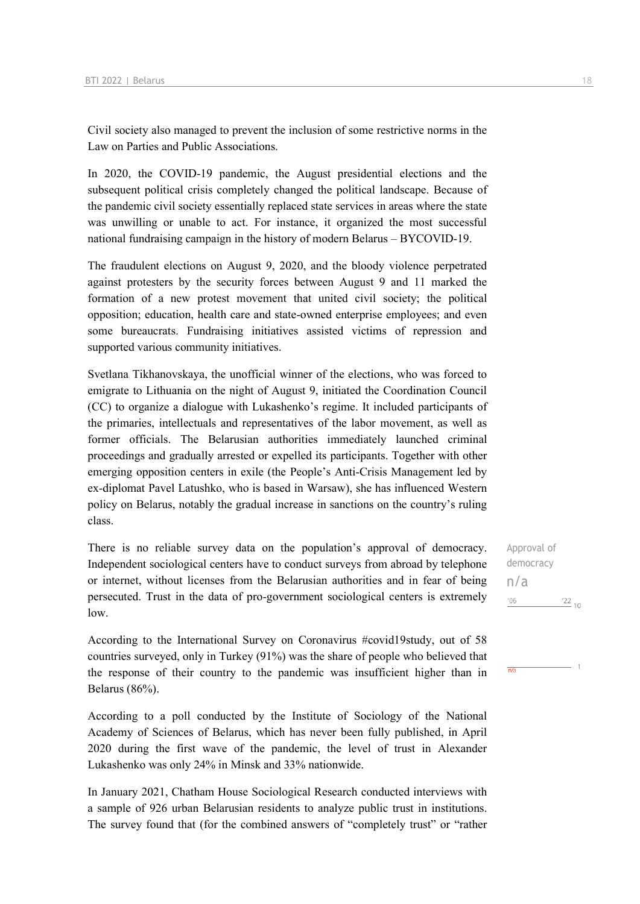Civil society also managed to prevent the inclusion of some restrictive norms in the Law on Parties and Public Associations.

In 2020, the СOVID-19 pandemic, the August presidential elections and the subsequent political crisis completely changed the political landscape. Because of the pandemic civil society essentially replaced state services in areas where the state was unwilling or unable to act. For instance, it organized the most successful national fundraising campaign in the history of modern Belarus – BYCOVID-19.

The fraudulent elections on August 9, 2020, and the bloody violence perpetrated against protesters by the security forces between August 9 and 11 marked the formation of a new protest movement that united civil society; the political opposition; education, health care and state-owned enterprise employees; and even some bureaucrats. Fundraising initiatives assisted victims of repression and supported various community initiatives.

Svetlana Tikhanovskaya, the unofficial winner of the elections, who was forced to emigrate to Lithuania on the night of August 9, initiated the Coordination Council (CC) to organize a dialogue with Lukashenko's regime. It included participants of the primaries, intellectuals and representatives of the labor movement, as well as former officials. The Belarusian authorities immediately launched criminal proceedings and gradually arrested or expelled its participants. Together with other emerging opposition centers in exile (the People's Anti-Crisis Management led by ex-diplomat Pavel Latushko, who is based in Warsaw), she has influenced Western policy on Belarus, notably the gradual increase in sanctions on the country's ruling class.

There is no reliable survey data on the population's approval of democracy. Independent sociological centers have to conduct surveys from abroad by telephone or internet, without licenses from the Belarusian authorities and in fear of being persecuted. Trust in the data of pro-government sociological centers is extremely low.

According to the International Survey on Coronavirus #covid19study, out of 58 countries surveyed, only in Turkey (91%) was the share of people who believed that the response of their country to the pandemic was insufficient higher than in Belarus (86%).

According to a poll conducted by the Institute of Sociology of the National Academy of Sciences of Belarus, which has never been fully published, in April 2020 during the first wave of the pandemic, the level of trust in Alexander Lukashenko was only 24% in Minsk and 33% nationwide.

In January 2021, Chatham House Sociological Research conducted interviews with a sample of 926 urban Belarusian residents to analyze public trust in institutions. The survey found that (for the combined answers of "completely trust" or "rather

Approval of democracy n/a $106$   $22_{10}$ 

 $\overline{n/a}$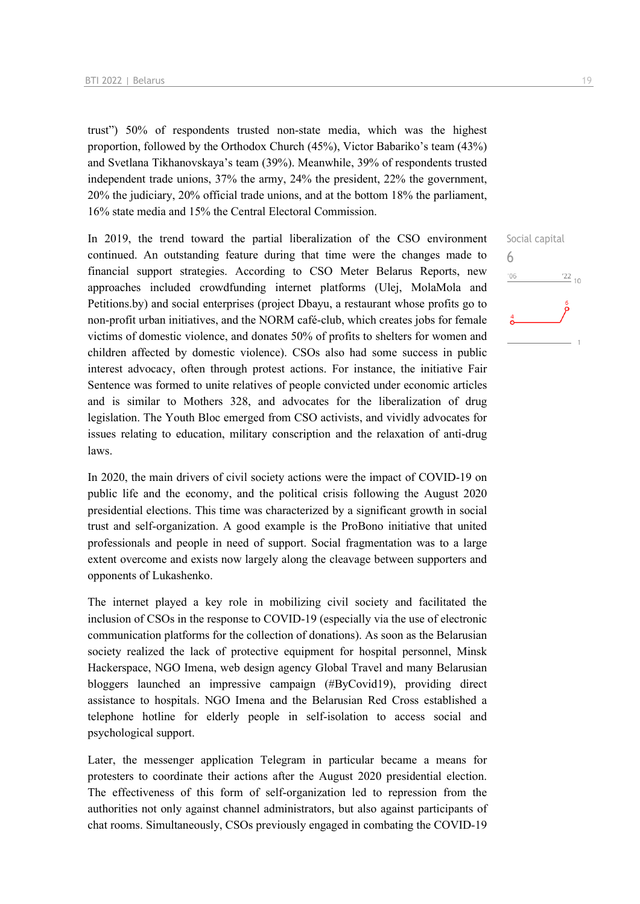trust") 50% of respondents trusted non-state media, which was the highest proportion, followed by the Orthodox Church (45%), Victor Babariko's team (43%) and Svetlana Tikhanovskaya's team (39%). Meanwhile, 39% of respondents trusted independent trade unions, 37% the army, 24% the president, 22% the government, 20% the judiciary, 20% official trade unions, and at the bottom 18% the parliament, 16% state media and 15% the Central Electoral Commission.

In 2019, the trend toward the partial liberalization of the CSO environment continued. An outstanding feature during that time were the changes made to financial support strategies. According to CSO Meter Belarus Reports, new approaches included crowdfunding internet platforms (Ulej, MolaMola and Petitions.by) and social enterprises (project Dbayu, a restaurant whose profits go to non-profit urban initiatives, and the NORM café-club, which creates jobs for female victims of domestic violence, and donates 50% of profits to shelters for women and children affected by domestic violence). CSOs also had some success in public interest advocacy, often through protest actions. For instance, the initiative Fair Sentence was formed to unite relatives of people convicted under economic articles and is similar to Mothers 328, and advocates for the liberalization of drug legislation. The Youth Bloc emerged from CSO activists, and vividly advocates for issues relating to education, military conscription and the relaxation of anti-drug laws.

In 2020, the main drivers of civil society actions were the impact of COVID-19 on public life and the economy, and the political crisis following the August 2020 presidential elections. This time was characterized by a significant growth in social trust and self-organization. A good example is the ProBono initiative that united professionals and people in need of support. Social fragmentation was to a large extent overcome and exists now largely along the cleavage between supporters and opponents of Lukashenko.

The internet played a key role in mobilizing civil society and facilitated the inclusion of CSOs in the response to COVID-19 (especially via the use of electronic communication platforms for the collection of donations). As soon as the Belarusian society realized the lack of protective equipment for hospital personnel, Minsk Hackerspace, NGO Imena, web design agency Global Travel and many Belarusian bloggers launched an impressive campaign (#ByCovid19), providing direct assistance to hospitals. NGO Imena and the Belarusian Red Cross established a telephone hotline for elderly people in self-isolation to access social and psychological support.

Later, the messenger application Telegram in particular became a means for protesters to coordinate their actions after the August 2020 presidential election. The effectiveness of this form of self-organization led to repression from the authorities not only against channel administrators, but also against participants of chat rooms. Simultaneously, CSOs previously engaged in combating the COVID-19

Social capital

 $\frac{22}{10}$ 

6 $106$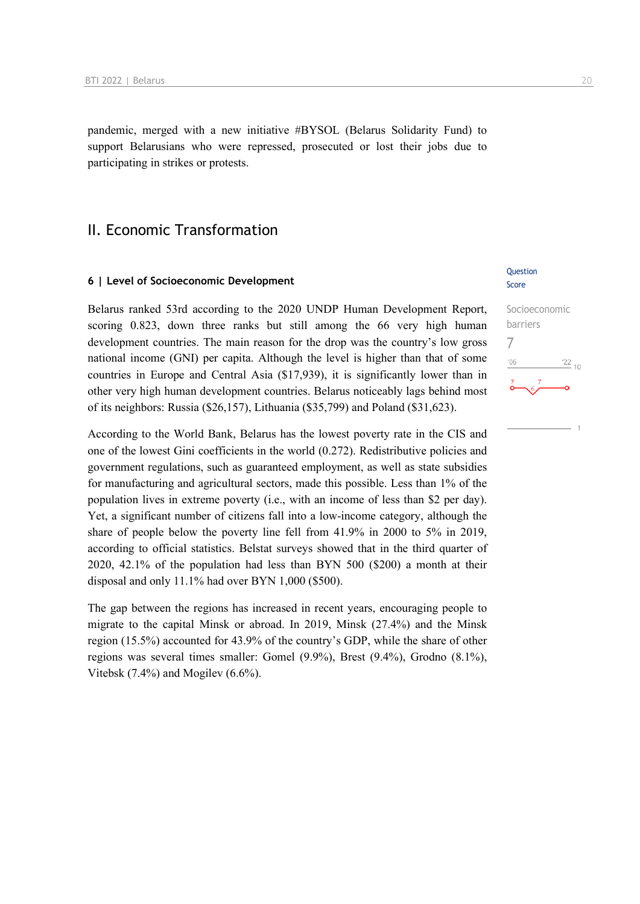pandemic, merged with a new initiative #BYSOL (Belarus Solidarity Fund) to support Belarusians who were repressed, prosecuted or lost their jobs due to participating in strikes or protests.

### II. Economic Transformation

#### **6 | Level of Socioeconomic Development**

Belarus ranked 53rd according to the 2020 UNDP Human Development Report, scoring 0.823, down three ranks but still among the 66 very high human development countries. The main reason for the drop was the country's low gross national income (GNI) per capita. Although the level is higher than that of some countries in Europe and Central Asia (\$17,939), it is significantly lower than in other very high human development countries. Belarus noticeably lags behind most of its neighbors: Russia (\$26,157), Lithuania (\$35,799) and Poland (\$31,623).

According to the World Bank, Belarus has the lowest poverty rate in the CIS and one of the lowest Gini coefficients in the world (0.272). Redistributive policies and government regulations, such as guaranteed employment, as well as state subsidies for manufacturing and agricultural sectors, made this possible. Less than 1% of the population lives in extreme poverty (i.e., with an income of less than \$2 per day). Yet, a significant number of citizens fall into a low-income category, although the share of people below the poverty line fell from 41.9% in 2000 to 5% in 2019, according to official statistics. Belstat surveys showed that in the third quarter of 2020, 42.1% of the population had less than BYN 500 (\$200) a month at their disposal and only 11.1% had over BYN 1,000 (\$500).

The gap between the regions has increased in recent years, encouraging people to migrate to the capital Minsk or abroad. In 2019, Minsk (27.4%) and the Minsk region (15.5%) accounted for 43.9% of the country's GDP, while the share of other regions was several times smaller: Gomel (9.9%), Brest (9.4%), Grodno (8.1%), Vitebsk (7.4%) and Mogilev (6.6%).

### Question Score

## Socioeconomic barriers 7 $^{\prime}06$  $\frac{22}{10}$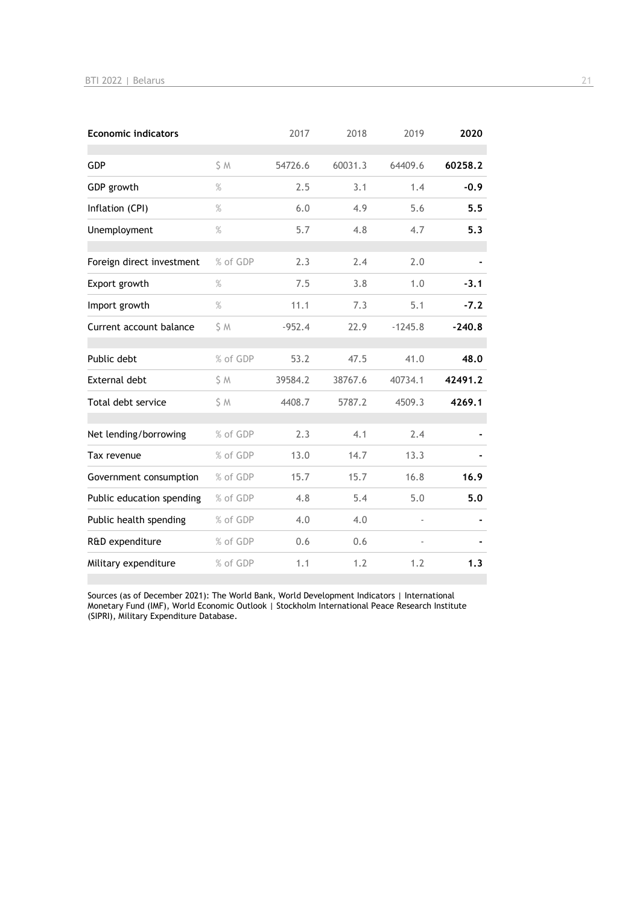| <b>Economic indicators</b> |          | 2017     | 2018    | 2019      | 2020     |
|----------------------------|----------|----------|---------|-----------|----------|
| GDP                        | S M      | 54726.6  | 60031.3 | 64409.6   | 60258.2  |
| GDP growth                 | $\%$     | 2.5      | 3.1     | 1.4       | $-0.9$   |
| Inflation (CPI)            | $\%$     | 6.0      | 4.9     | 5.6       | 5.5      |
| Unemployment               | $\%$     | 5.7      | 4.8     | 4.7       | 5.3      |
| Foreign direct investment  | % of GDP | 2.3      | 2.4     | 2.0       |          |
| Export growth              | $\%$     | 7.5      | 3.8     | 1.0       | $-3.1$   |
| Import growth              | $\%$     | 11.1     | 7.3     | 5.1       | $-7.2$   |
| Current account balance    | S M      | $-952.4$ | 22.9    | $-1245.8$ | $-240.8$ |
| Public debt                | % of GDP | 53.2     | 47.5    | 41.0      | 48.0     |
| External debt              | \$ M     | 39584.2  | 38767.6 | 40734.1   | 42491.2  |
| Total debt service         | S M      | 4408.7   | 5787.2  | 4509.3    | 4269.1   |
| Net lending/borrowing      | % of GDP | 2.3      | 4.1     | 2.4       |          |
| Tax revenue                | % of GDP | 13.0     | 14.7    | 13.3      |          |
| Government consumption     | % of GDP | 15.7     | 15.7    | 16.8      | 16.9     |
| Public education spending  | % of GDP | 4.8      | 5.4     | 5.0       | 5.0      |
| Public health spending     | % of GDP | 4.0      | 4.0     |           |          |
| R&D expenditure            | % of GDP | 0.6      | 0.6     |           |          |
| Military expenditure       | % of GDP | 1.1      | 1.2     | 1.2       | 1.3      |

Sources (as of December 2021): The World Bank, World Development Indicators | International Monetary Fund (IMF), World Economic Outlook | Stockholm International Peace Research Institute (SIPRI), Military Expenditure Database.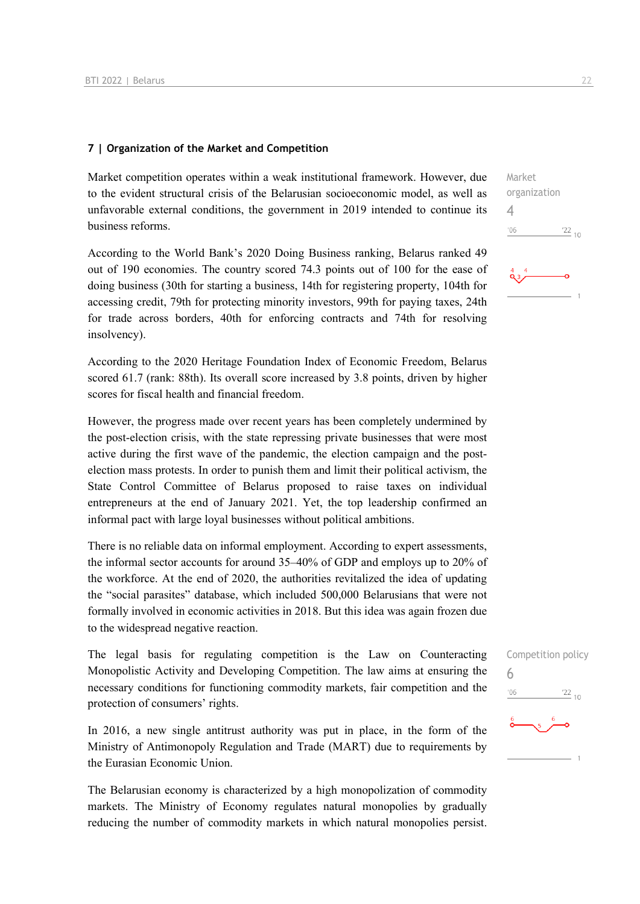### **7 | Organization of the Market and Competition**

Market competition operates within a weak institutional framework. However, due to the evident structural crisis of the Belarusian socioeconomic model, as well as unfavorable external conditions, the government in 2019 intended to continue its business reforms.

According to the World Bank's 2020 Doing Business ranking, Belarus ranked 49 out of 190 economies. The country scored 74.3 points out of 100 for the ease of doing business (30th for starting a business, 14th for registering property, 104th for accessing credit, 79th for protecting minority investors, 99th for paying taxes, 24th for trade across borders, 40th for enforcing contracts and 74th for resolving insolvency).

According to the 2020 Heritage Foundation Index of Economic Freedom, Belarus scored 61.7 (rank: 88th). Its overall score increased by 3.8 points, driven by higher scores for fiscal health and financial freedom.

However, the progress made over recent years has been completely undermined by the post-election crisis, with the state repressing private businesses that were most active during the first wave of the pandemic, the election campaign and the postelection mass protests. In order to punish them and limit their political activism, the State Control Committee of Belarus proposed to raise taxes on individual entrepreneurs at the end of January 2021. Yet, the top leadership confirmed an informal pact with large loyal businesses without political ambitions.

There is no reliable data on informal employment. According to expert assessments, the informal sector accounts for around 35–40% of GDP and employs up to 20% of the workforce. At the end of 2020, the authorities revitalized the idea of updating the "social parasites" database, which included 500,000 Belarusians that were not formally involved in economic activities in 2018. But this idea was again frozen due to the widespread negative reaction.

The legal basis for regulating competition is the Law on Counteracting Monopolistic Activity and Developing Competition. The law aims at ensuring the necessary conditions for functioning commodity markets, fair competition and the protection of consumers' rights.

In 2016, a new single antitrust authority was put in place, in the form of the Ministry of Antimonopoly Regulation and Trade (MART) due to requirements by the Eurasian Economic Union.

The Belarusian economy is characterized by a high monopolization of commodity markets. The Ministry of Economy regulates natural monopolies by gradually reducing the number of commodity markets in which natural monopolies persist.



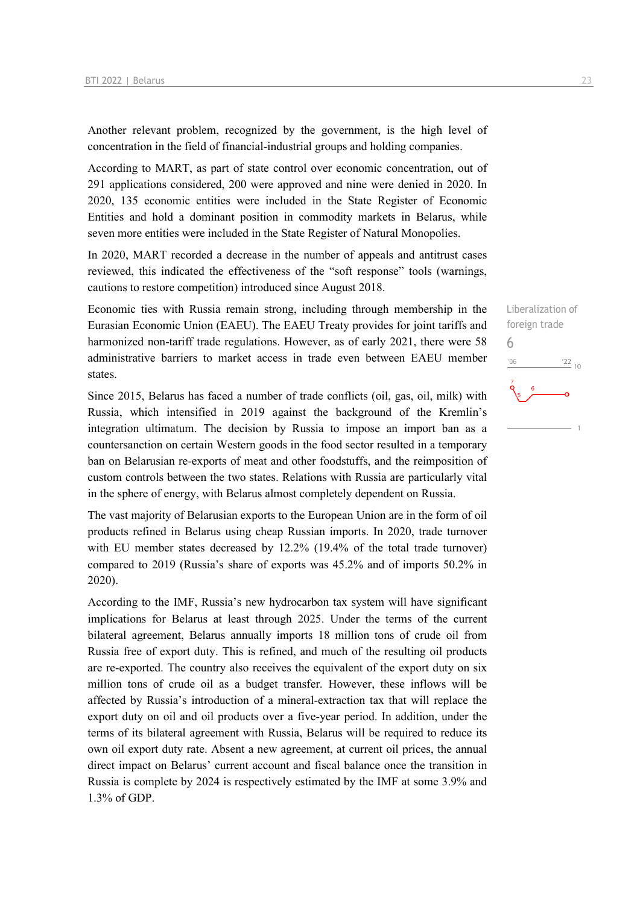Another relevant problem, recognized by the government, is the high level of concentration in the field of financial-industrial groups and holding companies.

According to MART, as part of state control over economic concentration, out of 291 applications considered, 200 were approved and nine were denied in 2020. In 2020, 135 economic entities were included in the State Register of Economic Entities and hold a dominant position in commodity markets in Belarus, while seven more entities were included in the State Register of Natural Monopolies.

In 2020, MART recorded a decrease in the number of appeals and antitrust cases reviewed, this indicated the effectiveness of the "soft response" tools (warnings, cautions to restore competition) introduced since August 2018.

Economic ties with Russia remain strong, including through membership in the Eurasian Economic Union (EAEU). The EAEU Treaty provides for joint tariffs and harmonized non-tariff trade regulations. However, as of early 2021, there were 58 administrative barriers to market access in trade even between EAEU member states.

Since 2015, Belarus has faced a number of trade conflicts (oil, gas, oil, milk) with Russia, which intensified in 2019 against the background of the Kremlin's integration ultimatum. The decision by Russia to impose an import ban as a countersanction on certain Western goods in the food sector resulted in a temporary ban on Belarusian re-exports of meat and other foodstuffs, and the reimposition of custom controls between the two states. Relations with Russia are particularly vital in the sphere of energy, with Belarus almost completely dependent on Russia.

The vast majority of Belarusian exports to the European Union are in the form of oil products refined in Belarus using cheap Russian imports. In 2020, trade turnover with EU member states decreased by 12.2% (19.4% of the total trade turnover) compared to 2019 (Russia's share of exports was 45.2% and of imports 50.2% in 2020).

According to the IMF, Russia's new hydrocarbon tax system will have significant implications for Belarus at least through 2025. Under the terms of the current bilateral agreement, Belarus annually imports 18 million tons of crude oil from Russia free of export duty. This is refined, and much of the resulting oil products are re-exported. The country also receives the equivalent of the export duty on six million tons of crude oil as a budget transfer. However, these inflows will be affected by Russia's introduction of a mineral-extraction tax that will replace the export duty on oil and oil products over a five-year period. In addition, under the terms of its bilateral agreement with Russia, Belarus will be required to reduce its own oil export duty rate. Absent a new agreement, at current oil prices, the annual direct impact on Belarus' current account and fiscal balance once the transition in Russia is complete by 2024 is respectively estimated by the IMF at some 3.9% and 1.3% of GDP.

Liberalization of foreign trade 6 $\frac{22}{10}$  $^{\prime}06$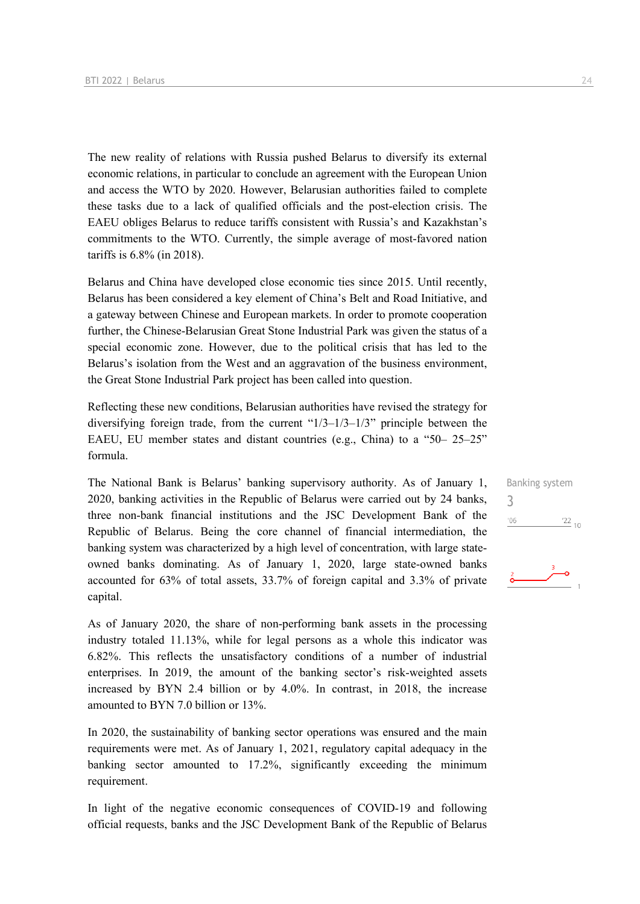The new reality of relations with Russia pushed Belarus to diversify its external economic relations, in particular to conclude an agreement with the European Union and access the WTO by 2020. However, Belarusian authorities failed to complete these tasks due to a lack of qualified officials and the post-election crisis. The EAEU obliges Belarus to reduce tariffs consistent with Russia's and Kazakhstan's commitments to the WTO. Currently, the simple average of most-favored nation tariffs is 6.8% (in 2018).

Belarus and China have developed close economic ties since 2015. Until recently, Belarus has been considered a key element of China's Belt and Road Initiative, and a gateway between Chinese and European markets. In order to promote cooperation further, the Chinese-Belarusian Great Stone Industrial Park was given the status of a special economic zone. However, due to the political crisis that has led to the Belarus's isolation from the West and an aggravation of the business environment, the Great Stone Industrial Park project has been called into question.

Reflecting these new conditions, Belarusian authorities have revised the strategy for diversifying foreign trade, from the current "1/3–1/3–1/3" principle between the EAEU, EU member states and distant countries (e.g., China) to a "50– 25–25" formula.

The National Bank is Belarus' banking supervisory authority. As of January 1, 2020, banking activities in the Republic of Belarus were carried out by 24 banks, three non-bank financial institutions and the JSC Development Bank of the Republic of Belarus. Being the core channel of financial intermediation, the banking system was characterized by a high level of concentration, with large stateowned banks dominating. As of January 1, 2020, large state-owned banks accounted for 63% of total assets, 33.7% of foreign capital and 3.3% of private capital.

As of January 2020, the share of non-performing bank assets in the processing industry totaled 11.13%, while for legal persons as a whole this indicator was 6.82%. This reflects the unsatisfactory conditions of a number of industrial enterprises. In 2019, the amount of the banking sector's risk-weighted assets increased by BYN 2.4 billion or by 4.0%. In contrast, in 2018, the increase amounted to BYN 7.0 billion or 13%.

In 2020, the sustainability of banking sector operations was ensured and the main requirements were met. As of January 1, 2021, regulatory capital adequacy in the banking sector amounted to 17.2%, significantly exceeding the minimum requirement.

In light of the negative economic consequences of COVID-19 and following official requests, banks and the JSC Development Bank of the Republic of Belarus

Banking system 3 $'06$  $\frac{22}{10}$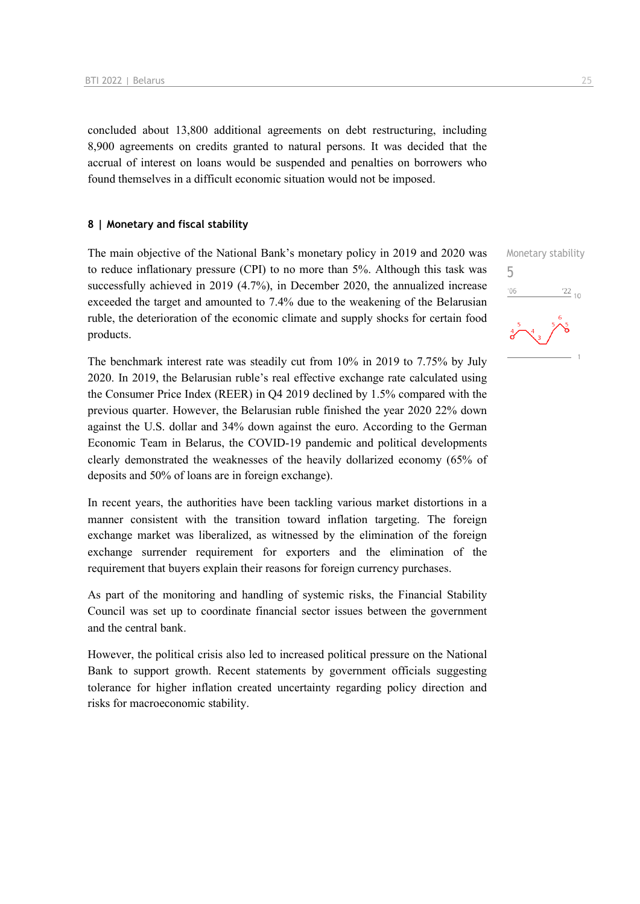concluded about 13,800 additional agreements on debt restructuring, including 8,900 agreements on credits granted to natural persons. It was decided that the accrual of interest on loans would be suspended and penalties on borrowers who found themselves in a difficult economic situation would not be imposed.

### **8 | Monetary and fiscal stability**

The main objective of the National Bank's monetary policy in 2019 and 2020 was to reduce inflationary pressure (CPI) to no more than 5%. Although this task was successfully achieved in 2019 (4.7%), in December 2020, the annualized increase exceeded the target and amounted to 7.4% due to the weakening of the Belarusian ruble, the deterioration of the economic climate and supply shocks for certain food products.

The benchmark interest rate was steadily cut from 10% in 2019 to 7.75% by July 2020. In 2019, the Belarusian ruble's real effective exchange rate calculated using the Consumer Price Index (REER) in Q4 2019 declined by 1.5% compared with the previous quarter. However, the Belarusian ruble finished the year 2020 22% down against the U.S. dollar and 34% down against the euro. According to the German Economic Team in Belarus, the COVID-19 pandemic and political developments clearly demonstrated the weaknesses of the heavily dollarized economy (65% of deposits and 50% of loans are in foreign exchange).

In recent years, the authorities have been tackling various market distortions in a manner consistent with the transition toward inflation targeting. The foreign exchange market was liberalized, as witnessed by the elimination of the foreign exchange surrender requirement for exporters and the elimination of the requirement that buyers explain their reasons for foreign currency purchases.

As part of the monitoring and handling of systemic risks, the Financial Stability Council was set up to coordinate financial sector issues between the government and the central bank.

However, the political crisis also led to increased political pressure on the National Bank to support growth. Recent statements by government officials suggesting tolerance for higher inflation created uncertainty regarding policy direction and risks for macroeconomic stability.

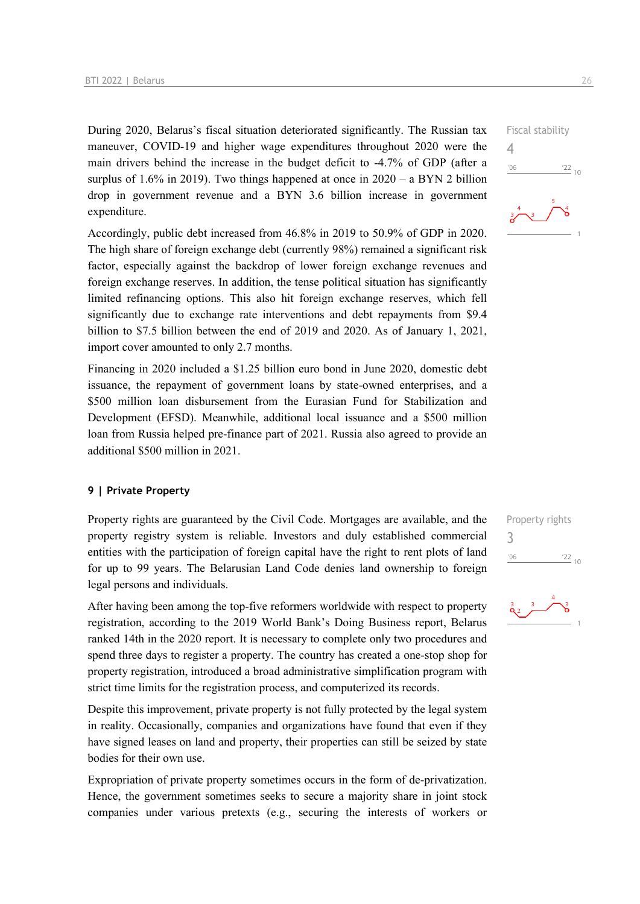During 2020, Belarus's fiscal situation deteriorated significantly. The Russian tax maneuver, COVID-19 and higher wage expenditures throughout 2020 were the main drivers behind the increase in the budget deficit to -4.7% of GDP (after a surplus of 1.6% in 2019). Two things happened at once in  $2020 - a$  BYN 2 billion drop in government revenue and a BYN 3.6 billion increase in government expenditure.

Accordingly, public debt increased from 46.8% in 2019 to 50.9% of GDP in 2020. The high share of foreign exchange debt (currently 98%) remained a significant risk factor, especially against the backdrop of lower foreign exchange revenues and foreign exchange reserves. In addition, the tense political situation has significantly limited refinancing options. This also hit foreign exchange reserves, which fell significantly due to exchange rate interventions and debt repayments from \$9.4 billion to \$7.5 billion between the end of 2019 and 2020. As of January 1, 2021, import cover amounted to only 2.7 months.

Financing in 2020 included a \$1.25 billion euro bond in June 2020, domestic debt issuance, the repayment of government loans by state-owned enterprises, and a \$500 million loan disbursement from the Eurasian Fund for Stabilization and Development (EFSD). Meanwhile, additional local issuance and a \$500 million loan from Russia helped pre-finance part of 2021. Russia also agreed to provide an additional \$500 million in 2021.

### **9 | Private Property**

Property rights are guaranteed by the Civil Code. Mortgages are available, and the property registry system is reliable. Investors and duly established commercial entities with the participation of foreign capital have the right to rent plots of land for up to 99 years. The Belarusian Land Code denies land ownership to foreign legal persons and individuals.

After having been among the top-five reformers worldwide with respect to property registration, according to the 2019 World Bank's Doing Business report, Belarus ranked 14th in the 2020 report. It is necessary to complete only two procedures and spend three days to register a property. The country has created a one-stop shop for property registration, introduced a broad administrative simplification program with strict time limits for the registration process, and computerized its records.

Despite this improvement, private property is not fully protected by the legal system in reality. Occasionally, companies and organizations have found that even if they have signed leases on land and property, their properties can still be seized by state bodies for their own use.

Expropriation of private property sometimes occurs in the form of de-privatization. Hence, the government sometimes seeks to secure a majority share in joint stock companies under various pretexts (e.g., securing the interests of workers or

Fiscal stability  $\frac{22}{10}$  $106$ 

4



Property rights 3 $-06$ 



 $\frac{22}{10}$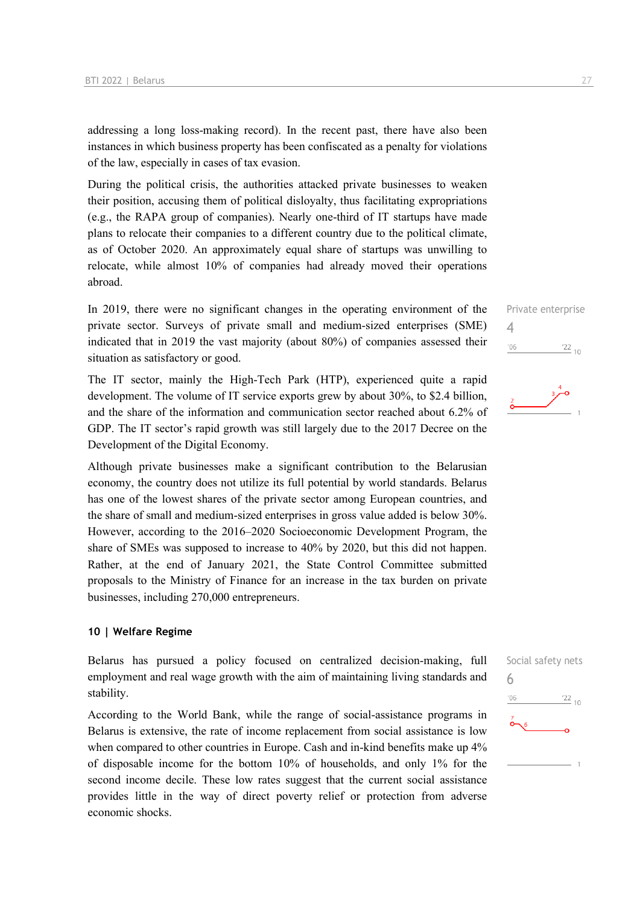addressing a long loss-making record). In the recent past, there have also been instances in which business property has been confiscated as a penalty for violations of the law, especially in cases of tax evasion.

During the political crisis, the authorities attacked private businesses to weaken their position, accusing them of political disloyalty, thus facilitating expropriations (e.g., the RAPA group of companies). Nearly one-third of IT startups have made plans to relocate their companies to a different country due to the political climate, as of October 2020. An approximately equal share of startups was unwilling to relocate, while almost 10% of companies had already moved their operations abroad.

In 2019, there were no significant changes in the operating environment of the private sector. Surveys of private small and medium-sized enterprises (SME) indicated that in 2019 the vast majority (about 80%) of companies assessed their situation as satisfactory or good.

The IT sector, mainly the High-Tech Park (HTP), experienced quite a rapid development. The volume of IT service exports grew by about 30%, to \$2.4 billion, and the share of the information and communication sector reached about 6.2% of GDP. The IT sector's rapid growth was still largely due to the 2017 Decree on the Development of the Digital Economy.

Although private businesses make a significant contribution to the Belarusian economy, the country does not utilize its full potential by world standards. Belarus has one of the lowest shares of the private sector among European countries, and the share of small and medium-sized enterprises in gross value added is below 30%. However, according to the 2016–2020 Socioeconomic Development Program, the share of SMEs was supposed to increase to 40% by 2020, but this did not happen. Rather, at the end of January 2021, the State Control Committee submitted proposals to the Ministry of Finance for an increase in the tax burden on private businesses, including 270,000 entrepreneurs.

### **10 | Welfare Regime**

Belarus has pursued a policy focused on centralized decision-making, full employment and real wage growth with the aim of maintaining living standards and stability.

According to the World Bank, while the range of social-assistance programs in Belarus is extensive, the rate of income replacement from social assistance is low when compared to other countries in Europe. Cash and in-kind benefits make up 4% of disposable income for the bottom 10% of households, and only 1% for the second income decile. These low rates suggest that the current social assistance provides little in the way of direct poverty relief or protection from adverse economic shocks.

Private enterprise 4  $^{\prime}06$  $\frac{22}{10}$ 



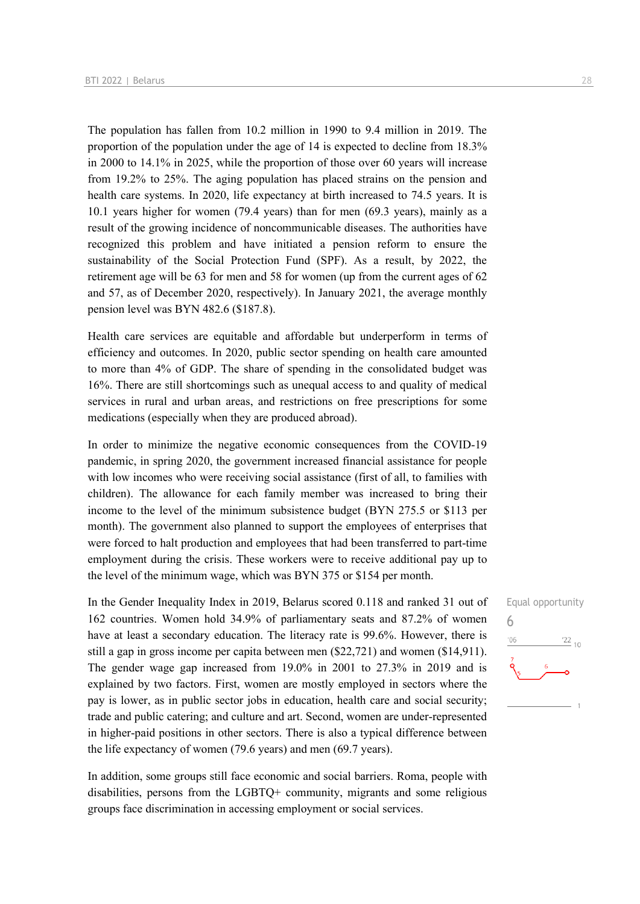The population has fallen from 10.2 million in 1990 to 9.4 million in 2019. The proportion of the population under the age of 14 is expected to decline from 18.3% in 2000 to 14.1% in 2025, while the proportion of those over 60 years will increase from 19.2% to 25%. The aging population has placed strains on the pension and health care systems. In 2020, life expectancy at birth increased to 74.5 years. It is 10.1 years higher for women (79.4 years) than for men (69.3 years), mainly as a result of the growing incidence of noncommunicable diseases. The authorities have recognized this problem and have initiated a pension reform to ensure the sustainability of the Social Protection Fund (SPF). As a result, by 2022, the retirement age will be 63 for men and 58 for women (up from the current ages of 62 and 57, as of December 2020, respectively). In January 2021, the average monthly pension level was BYN 482.6 (\$187.8).

Health care services are equitable and affordable but underperform in terms of efficiency and outcomes. In 2020, public sector spending on health care amounted to more than 4% of GDP. The share of spending in the consolidated budget was 16%. There are still shortcomings such as unequal access to and quality of medical services in rural and urban areas, and restrictions on free prescriptions for some medications (especially when they are produced abroad).

In order to minimize the negative economic consequences from the COVID-19 pandemic, in spring 2020, the government increased financial assistance for people with low incomes who were receiving social assistance (first of all, to families with children). The allowance for each family member was increased to bring their income to the level of the minimum subsistence budget (BYN 275.5 or \$113 per month). The government also planned to support the employees of enterprises that were forced to halt production and employees that had been transferred to part-time employment during the crisis. These workers were to receive additional pay up to the level of the minimum wage, which was BYN 375 or \$154 per month.

In the Gender Inequality Index in 2019, Belarus scored 0.118 and ranked 31 out of 162 countries. Women hold 34.9% of parliamentary seats and 87.2% of women have at least a secondary education. The literacy rate is 99.6%. However, there is still a gap in gross income per capita between men (\$22,721) and women (\$14,911). The gender wage gap increased from 19.0% in 2001 to 27.3% in 2019 and is explained by two factors. First, women are mostly employed in sectors where the pay is lower, as in public sector jobs in education, health care and social security; trade and public catering; and culture and art. Second, women are under-represented in higher-paid positions in other sectors. There is also a typical difference between the life expectancy of women (79.6 years) and men (69.7 years).

In addition, some groups still face economic and social barriers. Roma, people with disabilities, persons from the LGBTQ+ community, migrants and some religious groups face discrimination in accessing employment or social services.

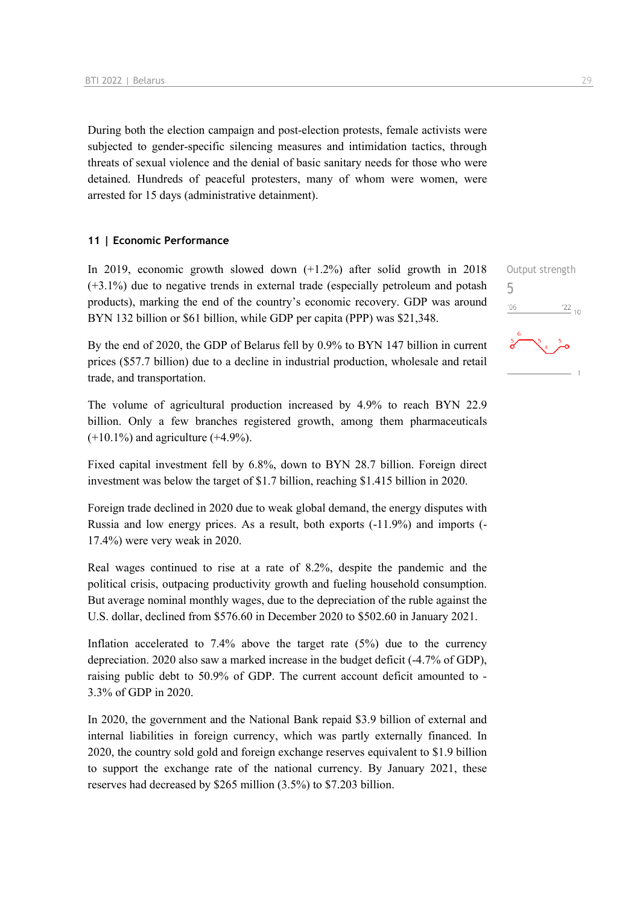During both the election campaign and post-election protests, female activists were subjected to gender-specific silencing measures and intimidation tactics, through threats of sexual violence and the denial of basic sanitary needs for those who were detained. Hundreds of peaceful protesters, many of whom were women, were arrested for 15 days (administrative detainment).

### **11 | Economic Performance**

In 2019, economic growth slowed down (+1.2%) after solid growth in 2018 (+3.1%) due to negative trends in external trade (especially petroleum and potash products), marking the end of the country's economic recovery. GDP was around BYN 132 billion or \$61 billion, while GDP per capita (PPP) was \$21,348.

By the end of 2020, the GDP of Belarus fell by 0.9% to BYN 147 billion in current prices (\$57.7 billion) due to a decline in industrial production, wholesale and retail trade, and transportation.

The volume of agricultural production increased by 4.9% to reach BYN 22.9 billion. Only a few branches registered growth, among them pharmaceuticals  $(+10.1\%)$  and agriculture  $(+4.9\%).$ 

Fixed capital investment fell by 6.8%, down to BYN 28.7 billion. Foreign direct investment was below the target of \$1.7 billion, reaching \$1.415 billion in 2020.

Foreign trade declined in 2020 due to weak global demand, the energy disputes with Russia and low energy prices. As a result, both exports (-11.9%) and imports (- 17.4%) were very weak in 2020.

Real wages continued to rise at a rate of 8.2%, despite the pandemic and the political crisis, outpacing productivity growth and fueling household consumption. But average nominal monthly wages, due to the depreciation of the ruble against the U.S. dollar, declined from \$576.60 in December 2020 to \$502.60 in January 2021.

Inflation accelerated to 7.4% above the target rate (5%) due to the currency depreciation. 2020 also saw a marked increase in the budget deficit (-4.7% of GDP), raising public debt to 50.9% of GDP. The current account deficit amounted to - 3.3% of GDP in 2020.

In 2020, the government and the National Bank repaid \$3.9 billion of external and internal liabilities in foreign currency, which was partly externally financed. In 2020, the country sold gold and foreign exchange reserves equivalent to \$1.9 billion to support the exchange rate of the national currency. By January 2021, these reserves had decreased by \$265 million (3.5%) to \$7.203 billion.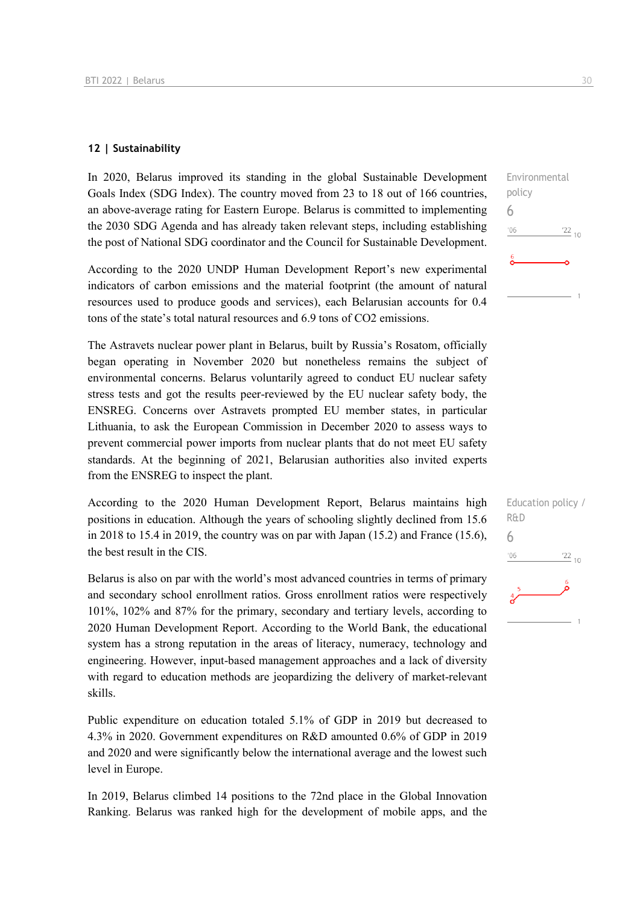### **12 | Sustainability**

In 2020, Belarus improved its standing in the global Sustainable Development Goals Index (SDG Index). The country moved from 23 to 18 out of 166 countries, an above-average rating for Eastern Europe. Belarus is committed to implementing the 2030 SDG Agenda and has already taken relevant steps, including establishing the post of National SDG coordinator and the Council for Sustainable Development.

According to the 2020 UNDP Human Development Report's new experimental indicators of carbon emissions and the material footprint (the amount of natural resources used to produce goods and services), each Belarusian accounts for 0.4 tons of the state's total natural resources and 6.9 tons of CO2 emissions.

The Astravets nuclear power plant in Belarus, built by Russia's Rosatom, officially began operating in November 2020 but nonetheless remains the subject of environmental concerns. Belarus voluntarily agreed to conduct EU nuclear safety stress tests and got the results peer-reviewed by the EU nuclear safety body, the ENSREG. Concerns over Astravets prompted EU member states, in particular Lithuania, to ask the European Commission in December 2020 to assess ways to prevent commercial power imports from nuclear plants that do not meet EU safety standards. At the beginning of 2021, Belarusian authorities also invited experts from the ENSREG to inspect the plant.

According to the 2020 Human Development Report, Belarus maintains high positions in education. Although the years of schooling slightly declined from 15.6 in 2018 to 15.4 in 2019, the country was on par with Japan  $(15.2)$  and France  $(15.6)$ , the best result in the CIS.

Belarus is also on par with the world's most advanced countries in terms of primary and secondary school enrollment ratios. Gross enrollment ratios were respectively 101%, 102% and 87% for the primary, secondary and tertiary levels, according to 2020 Human Development Report. According to the World Bank, the educational system has a strong reputation in the areas of literacy, numeracy, technology and engineering. However, input-based management approaches and a lack of diversity with regard to education methods are jeopardizing the delivery of market-relevant skills.

Public expenditure on education totaled 5.1% of GDP in 2019 but decreased to 4.3% in 2020. Government expenditures on R&D amounted 0.6% of GDP in 2019 and 2020 and were significantly below the international average and the lowest such level in Europe.

In 2019, Belarus climbed 14 positions to the 72nd place in the Global Innovation Ranking. Belarus was ranked high for the development of mobile apps, and the 6

 $06'$ 

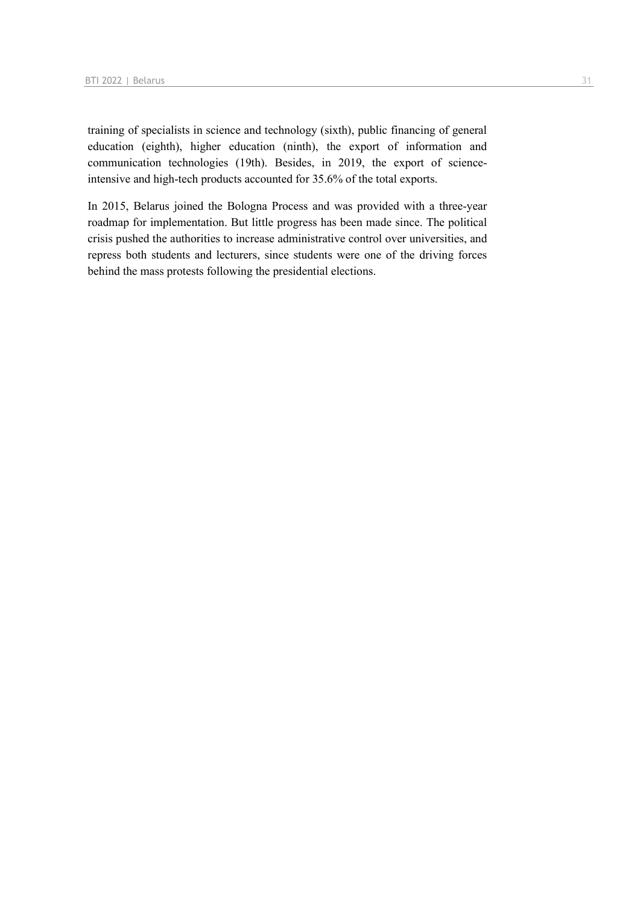training of specialists in science and technology (sixth), public financing of general education (eighth), higher education (ninth), the export of information and communication technologies (19th). Besides, in 2019, the export of scienceintensive and high-tech products accounted for 35.6% of the total exports.

In 2015, Belarus joined the Bologna Process and was provided with a three-year roadmap for implementation. But little progress has been made since. The political crisis pushed the authorities to increase administrative control over universities, and repress both students and lecturers, since students were one of the driving forces behind the mass protests following the presidential elections.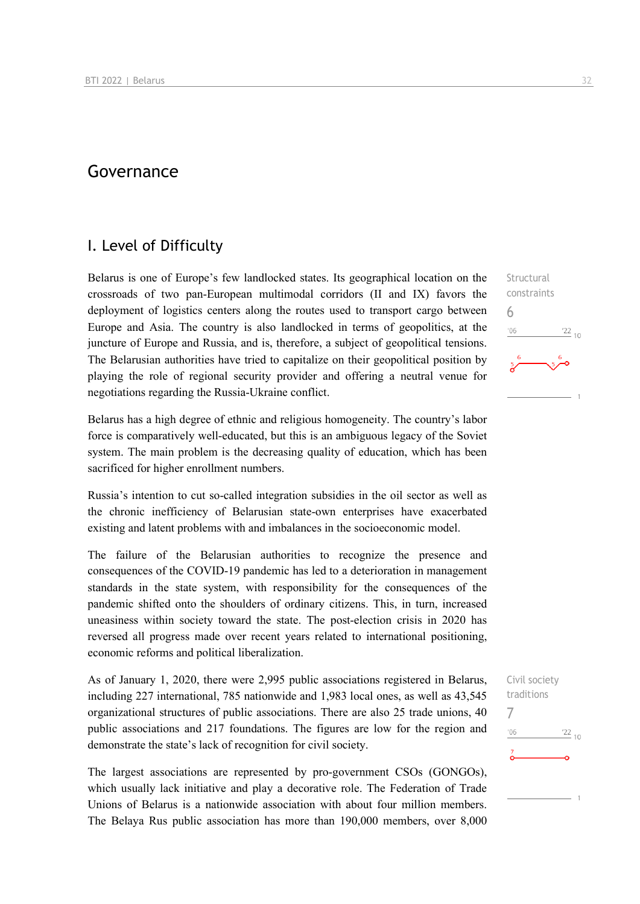### Governance

### I. Level of Difficulty

Belarus is one of Europe's few landlocked states. Its geographical location on the crossroads of two pan-European multimodal corridors (II and IX) favors the deployment of logistics centers along the routes used to transport cargo between Europe and Asia. The country is also landlocked in terms of geopolitics, at the juncture of Europe and Russia, and is, therefore, a subject of geopolitical tensions. The Belarusian authorities have tried to capitalize on their geopolitical position by playing the role of regional security provider and offering a neutral venue for negotiations regarding the Russia-Ukraine conflict.

Belarus has a high degree of ethnic and religious homogeneity. The country's labor force is comparatively well-educated, but this is an ambiguous legacy of the Soviet system. The main problem is the decreasing quality of education, which has been sacrificed for higher enrollment numbers.

Russia's intention to cut so-called integration subsidies in the oil sector as well as the chronic inefficiency of Belarusian state-own enterprises have exacerbated existing and latent problems with and imbalances in the socioeconomic model.

The failure of the Belarusian authorities to recognize the presence and consequences of the COVID-19 pandemic has led to a deterioration in management standards in the state system, with responsibility for the consequences of the pandemic shifted onto the shoulders of ordinary citizens. This, in turn, increased uneasiness within society toward the state. The post-election crisis in 2020 has reversed all progress made over recent years related to international positioning, economic reforms and political liberalization.

As of January 1, 2020, there were 2,995 public associations registered in Belarus, including 227 international, 785 nationwide and 1,983 local ones, as well as 43,545 organizational structures of public associations. There are also 25 trade unions, 40 public associations and 217 foundations. The figures are low for the region and demonstrate the state's lack of recognition for civil society.

The largest associations are represented by pro-government CSOs (GONGOs), which usually lack initiative and play a decorative role. The Federation of Trade Unions of Belarus is a nationwide association with about four million members. The Belaya Rus public association has more than 190,000 members, over 8,000

**Structural** constraints 6  $106$  $^{22}$  10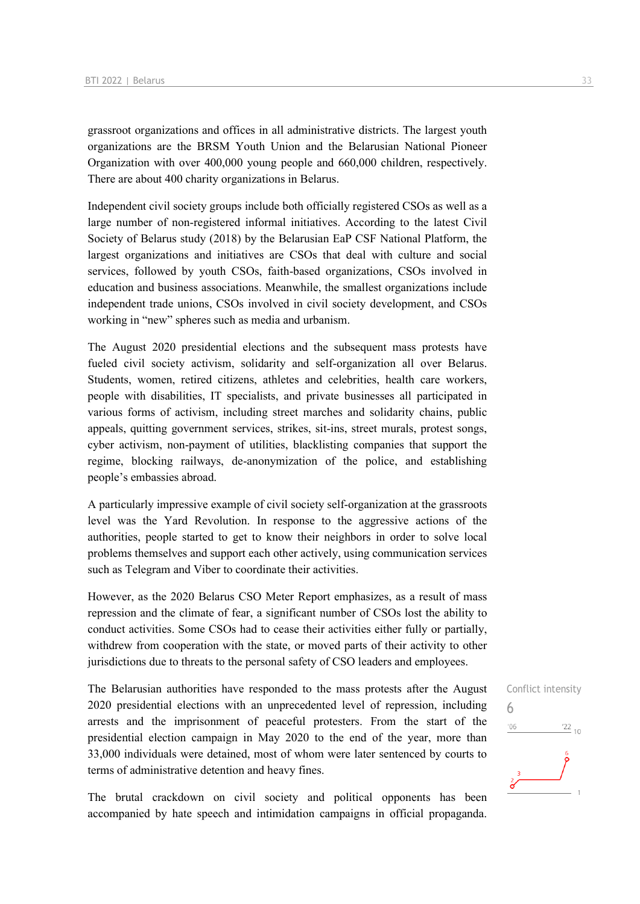grassroot organizations and offices in all administrative districts. The largest youth organizations are the BRSM Youth Union and the Belarusian National Pioneer Organization with over 400,000 young people and 660,000 children, respectively. There are about 400 charity organizations in Belarus.

Independent civil society groups include both officially registered CSOs as well as a large number of non-registered informal initiatives. According to the latest Civil Society of Belarus study (2018) by the Belarusian EaP CSF National Platform, the largest organizations and initiatives are CSOs that deal with culture and social services, followed by youth CSOs, faith-based organizations, CSOs involved in education and business associations. Meanwhile, the smallest organizations include independent trade unions, CSOs involved in civil society development, and CSOs working in "new" spheres such as media and urbanism.

The August 2020 presidential elections and the subsequent mass protests have fueled civil society activism, solidarity and self-organization all over Belarus. Students, women, retired citizens, athletes and celebrities, health care workers, people with disabilities, IT specialists, and private businesses all participated in various forms of activism, including street marches and solidarity chains, public appeals, quitting government services, strikes, sit-ins, street murals, protest songs, cyber activism, non-payment of utilities, blacklisting companies that support the regime, blocking railways, de-anonymization of the police, and establishing people's embassies abroad.

A particularly impressive example of civil society self-organization at the grassroots level was the Yard Revolution. In response to the aggressive actions of the authorities, people started to get to know their neighbors in order to solve local problems themselves and support each other actively, using communication services such as Telegram and Viber to coordinate their activities.

However, as the 2020 Belarus CSO Meter Report emphasizes, as a result of mass repression and the climate of fear, a significant number of CSOs lost the ability to conduct activities. Some CSOs had to cease their activities either fully or partially, withdrew from cooperation with the state, or moved parts of their activity to other jurisdictions due to threats to the personal safety of CSO leaders and employees.

The Belarusian authorities have responded to the mass protests after the August 2020 presidential elections with an unprecedented level of repression, including arrests and the imprisonment of peaceful protesters. From the start of the presidential election campaign in May 2020 to the end of the year, more than 33,000 individuals were detained, most of whom were later sentenced by courts to terms of administrative detention and heavy fines.

The brutal crackdown on civil society and political opponents has been accompanied by hate speech and intimidation campaigns in official propaganda.

Conflict intensity 6 $\frac{22}{10}$  $'06$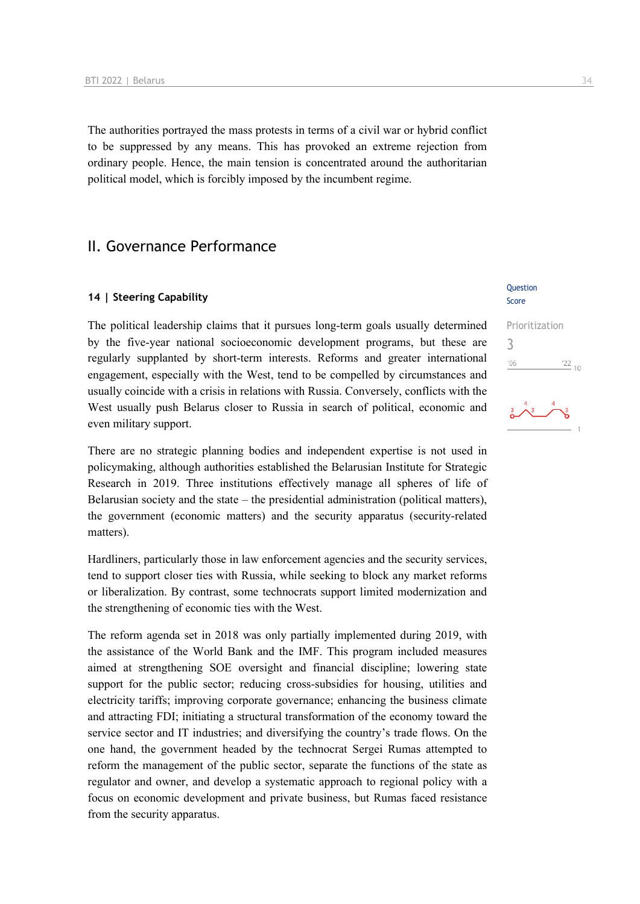The authorities portrayed the mass protests in terms of a civil war or hybrid conflict to be suppressed by any means. This has provoked an extreme rejection from ordinary people. Hence, the main tension is concentrated around the authoritarian political model, which is forcibly imposed by the incumbent regime.

### II. Governance Performance

#### **14 | Steering Capability**

The political leadership claims that it pursues long-term goals usually determined by the five-year national socioeconomic development programs, but these are regularly supplanted by short-term interests. Reforms and greater international engagement, especially with the West, tend to be compelled by circumstances and usually coincide with a crisis in relations with Russia. Conversely, conflicts with the West usually push Belarus closer to Russia in search of political, economic and even military support.

There are no strategic planning bodies and independent expertise is not used in policymaking, although authorities established the Belarusian Institute for Strategic Research in 2019. Three institutions effectively manage all spheres of life of Belarusian society and the state – the presidential administration (political matters), the government (economic matters) and the security apparatus (security-related matters).

Hardliners, particularly those in law enforcement agencies and the security services, tend to support closer ties with Russia, while seeking to block any market reforms or liberalization. By contrast, some technocrats support limited modernization and the strengthening of economic ties with the West.

The reform agenda set in 2018 was only partially implemented during 2019, with the assistance of the World Bank and the IMF. This program included measures aimed at strengthening SOE oversight and financial discipline; lowering state support for the public sector; reducing cross-subsidies for housing, utilities and electricity tariffs; improving corporate governance; enhancing the business climate and attracting FDI; initiating a structural transformation of the economy toward the service sector and IT industries; and diversifying the country's trade flows. On the one hand, the government headed by the technocrat Sergei Rumas attempted to reform the management of the public sector, separate the functions of the state as regulator and owner, and develop a systematic approach to regional policy with a focus on economic development and private business, but Rumas faced resistance from the security apparatus.

#### **Ouestion** Score

### Prioritization 3 $06'$  $\frac{22}{10}$

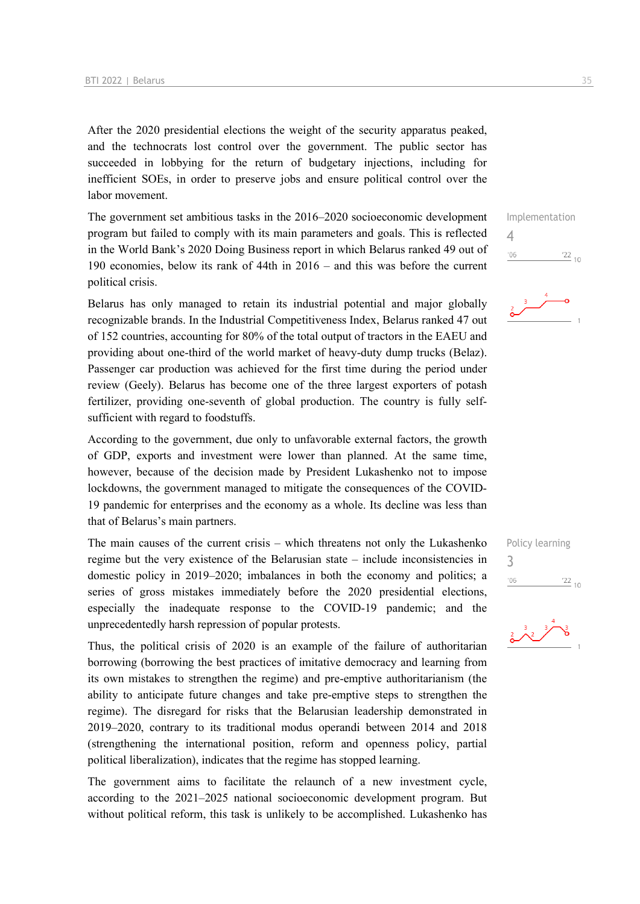After the 2020 presidential elections the weight of the security apparatus peaked, and the technocrats lost control over the government. The public sector has succeeded in lobbying for the return of budgetary injections, including for inefficient SOEs, in order to preserve jobs and ensure political control over the labor movement.

The government set ambitious tasks in the 2016–2020 socioeconomic development program but failed to comply with its main parameters and goals. This is reflected in the World Bank's 2020 Doing Business report in which Belarus ranked 49 out of 190 economies, below its rank of 44th in 2016 – and this was before the current political crisis.

Belarus has only managed to retain its industrial potential and major globally recognizable brands. In the Industrial Competitiveness Index, Belarus ranked 47 out of 152 countries, accounting for 80% of the total output of tractors in the EAEU and providing about one-third of the world market of heavy-duty dump trucks (Belaz). Passenger car production was achieved for the first time during the period under review (Geely). Belarus has become one of the three largest exporters of potash fertilizer, providing one-seventh of global production. The country is fully selfsufficient with regard to foodstuffs.

According to the government, due only to unfavorable external factors, the growth of GDP, exports and investment were lower than planned. At the same time, however, because of the decision made by President Lukashenko not to impose lockdowns, the government managed to mitigate the consequences of the COVID-19 pandemic for enterprises and the economy as a whole. Its decline was less than that of Belarus's main partners.

The main causes of the current crisis – which threatens not only the Lukashenko regime but the very existence of the Belarusian state – include inconsistencies in domestic policy in 2019–2020; imbalances in both the economy and politics; a series of gross mistakes immediately before the 2020 presidential elections, especially the inadequate response to the COVID-19 pandemic; and the unprecedentedly harsh repression of popular protests.

Thus, the political crisis of 2020 is an example of the failure of authoritarian borrowing (borrowing the best practices of imitative democracy and learning from its own mistakes to strengthen the regime) and pre-emptive authoritarianism (the ability to anticipate future changes and take pre-emptive steps to strengthen the regime). The disregard for risks that the Belarusian leadership demonstrated in 2019–2020, contrary to its traditional modus operandi between 2014 and 2018 (strengthening the international position, reform and openness policy, partial political liberalization), indicates that the regime has stopped learning.

The government aims to facilitate the relaunch of a new investment cycle, according to the 2021–2025 national socioeconomic development program. But without political reform, this task is unlikely to be accomplished. Lukashenko has Implementation  $\Delta$  $^{\prime}06$  $\frac{22}{10}$ 



Policy learning



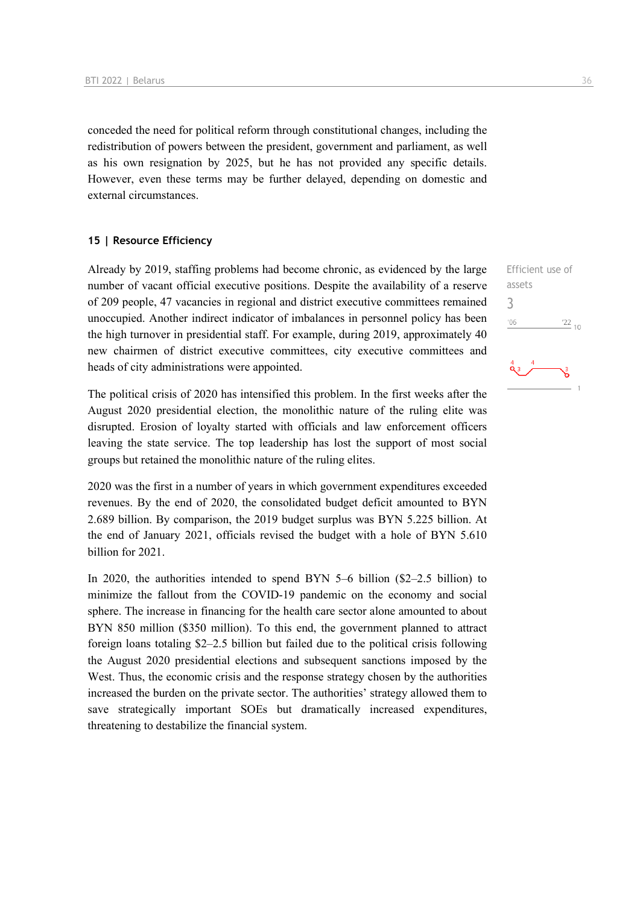conceded the need for political reform through constitutional changes, including the redistribution of powers between the president, government and parliament, as well as his own resignation by 2025, but he has not provided any specific details. However, even these terms may be further delayed, depending on domestic and external circumstances.

### **15 | Resource Efficiency**

Already by 2019, staffing problems had become chronic, as evidenced by the large number of vacant official executive positions. Despite the availability of a reserve of 209 people, 47 vacancies in regional and district executive committees remained unoccupied. Another indirect indicator of imbalances in personnel policy has been the high turnover in presidential staff. For example, during 2019, approximately 40 new chairmen of district executive committees, city executive committees and heads of city administrations were appointed.

The political crisis of 2020 has intensified this problem. In the first weeks after the August 2020 presidential election, the monolithic nature of the ruling elite was disrupted. Erosion of loyalty started with officials and law enforcement officers leaving the state service. The top leadership has lost the support of most social groups but retained the monolithic nature of the ruling elites.

2020 was the first in a number of years in which government expenditures exceeded revenues. By the end of 2020, the consolidated budget deficit amounted to BYN 2.689 billion. By comparison, the 2019 budget surplus was BYN 5.225 billion. At the end of January 2021, officials revised the budget with a hole of BYN 5.610 billion for 2021.

In 2020, the authorities intended to spend BYN 5–6 billion (\$2–2.5 billion) to minimize the fallout from the COVID-19 pandemic on the economy and social sphere. The increase in financing for the health care sector alone amounted to about BYN 850 million (\$350 million). To this end, the government planned to attract foreign loans totaling \$2–2.5 billion but failed due to the political crisis following the August 2020 presidential elections and subsequent sanctions imposed by the West. Thus, the economic crisis and the response strategy chosen by the authorities increased the burden on the private sector. The authorities' strategy allowed them to save strategically important SOEs but dramatically increased expenditures, threatening to destabilize the financial system.

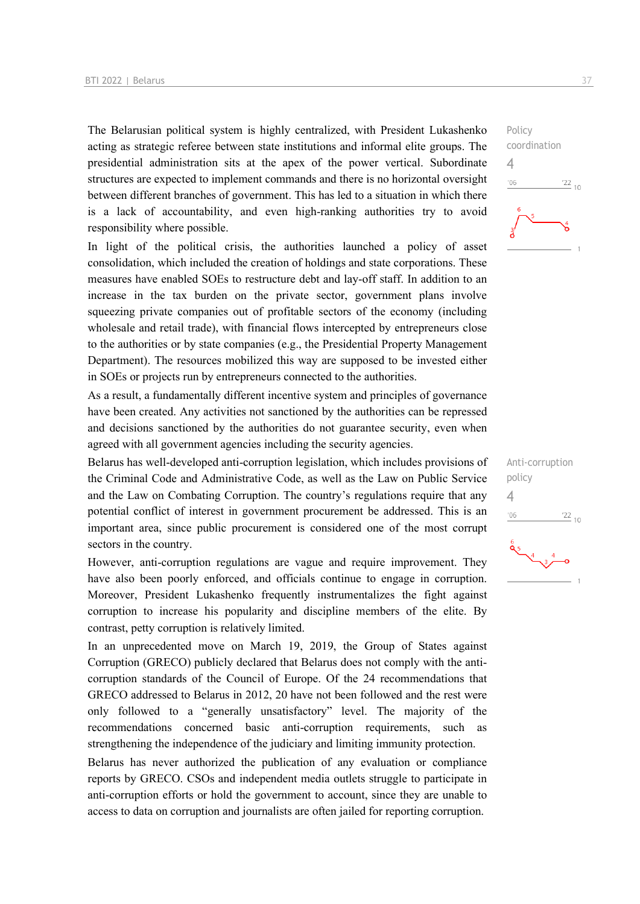The Belarusian political system is highly centralized, with President Lukashenko acting as strategic referee between state institutions and informal elite groups. The presidential administration sits at the apex of the power vertical. Subordinate structures are expected to implement commands and there is no horizontal oversight between different branches of government. This has led to a situation in which there is a lack of accountability, and even high-ranking authorities try to avoid responsibility where possible.

In light of the political crisis, the authorities launched a policy of asset consolidation, which included the creation of holdings and state corporations. These measures have enabled SOEs to restructure debt and lay-off staff. In addition to an increase in the tax burden on the private sector, government plans involve squeezing private companies out of profitable sectors of the economy (including wholesale and retail trade), with financial flows intercepted by entrepreneurs close to the authorities or by state companies (e.g., the Presidential Property Management Department). The resources mobilized this way are supposed to be invested either in SOEs or projects run by entrepreneurs connected to the authorities.

As a result, a fundamentally different incentive system and principles of governance have been created. Any activities not sanctioned by the authorities can be repressed and decisions sanctioned by the authorities do not guarantee security, even when agreed with all government agencies including the security agencies.

Belarus has well-developed anti-corruption legislation, which includes provisions of the Criminal Code and Administrative Code, as well as the Law on Public Service and the Law on Combating Corruption. The country's regulations require that any potential conflict of interest in government procurement be addressed. This is an important area, since public procurement is considered one of the most corrupt sectors in the country.

However, anti-corruption regulations are vague and require improvement. They have also been poorly enforced, and officials continue to engage in corruption. Moreover, President Lukashenko frequently instrumentalizes the fight against corruption to increase his popularity and discipline members of the elite. By contrast, petty corruption is relatively limited.

In an unprecedented move on March 19, 2019, the Group of States against Corruption (GRECO) publicly declared that Belarus does not comply with the anticorruption standards of the Council of Europe. Of the 24 recommendations that GRECO addressed to Belarus in 2012, 20 have not been followed and the rest were only followed to a "generally unsatisfactory" level. The majority of the recommendations concerned basic anti-corruption requirements, such as strengthening the independence of the judiciary and limiting immunity protection.

Belarus has never authorized the publication of any evaluation or compliance reports by GRECO. CSOs and independent media outlets struggle to participate in anti-corruption efforts or hold the government to account, since they are unable to access to data on corruption and journalists are often jailed for reporting corruption.

Policy coordination  $^{\prime}06$  $\frac{22}{10}$ 

4

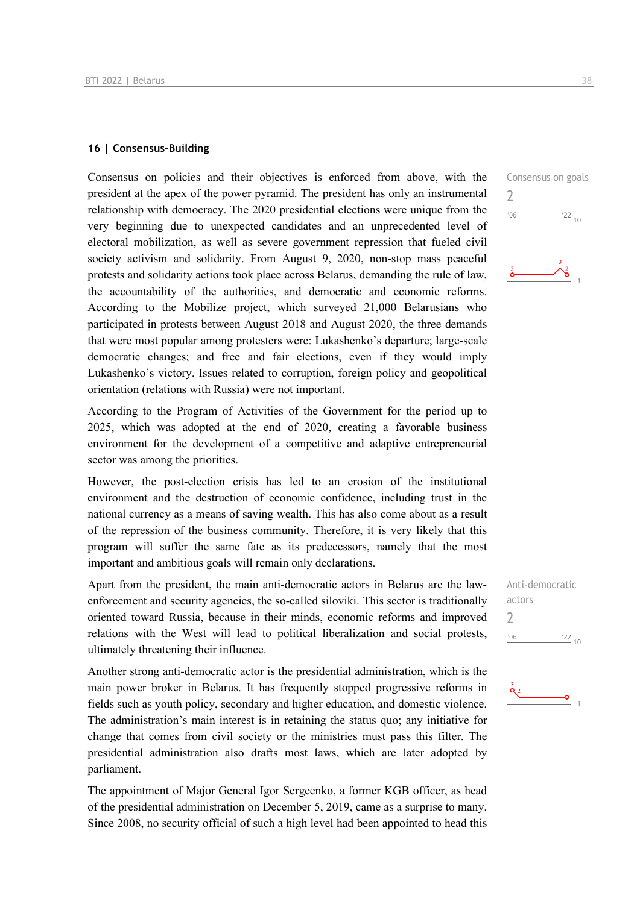### **16 | Consensus-Building**

Consensus on policies and their objectives is enforced from above, with the president at the apex of the power pyramid. The president has only an instrumental relationship with democracy. The 2020 presidential elections were unique from the very beginning due to unexpected candidates and an unprecedented level of electoral mobilization, as well as severe government repression that fueled civil society activism and solidarity. From August 9, 2020, non-stop mass peaceful protests and solidarity actions took place across Belarus, demanding the rule of law, the accountability of the authorities, and democratic and economic reforms. According to the Mobilize project, which surveyed 21,000 Belarusians who participated in protests between August 2018 and August 2020, the three demands that were most popular among protesters were: Lukashenko's departure; large-scale democratic changes; and free and fair elections, even if they would imply Lukashenko's victory. Issues related to corruption, foreign policy and geopolitical orientation (relations with Russia) were not important.

According to the Program of Activities of the Government for the period up to 2025, which was adopted at the end of 2020, creating a favorable business environment for the development of a competitive and adaptive entrepreneurial sector was among the priorities.

However, the post-election crisis has led to an erosion of the institutional environment and the destruction of economic confidence, including trust in the national currency as a means of saving wealth. This has also come about as a result of the repression of the business community. Therefore, it is very likely that this program will suffer the same fate as its predecessors, namely that the most important and ambitious goals will remain only declarations.

Apart from the president, the main anti-democratic actors in Belarus are the lawenforcement and security agencies, the so-called siloviki. This sector is traditionally oriented toward Russia, because in their minds, economic reforms and improved relations with the West will lead to political liberalization and social protests, ultimately threatening their influence.

Another strong anti-democratic actor is the presidential administration, which is the main power broker in Belarus. It has frequently stopped progressive reforms in fields such as youth policy, secondary and higher education, and domestic violence. The administration's main interest is in retaining the status quo; any initiative for change that comes from civil society or the ministries must pass this filter. The presidential administration also drafts most laws, which are later adopted by parliament.

The appointment of Major General Igor Sergeenko, a former KGB officer, as head of the presidential administration on December 5, 2019, came as a surprise to many. Since 2008, no security official of such a high level had been appointed to head this Consensus on goals  $\overline{\phantom{0}}$  $\frac{22}{10}$  $'06$ 

Anti-democratic actors  $\overline{\phantom{0}}$  $'06$  $\frac{22}{10}$ 

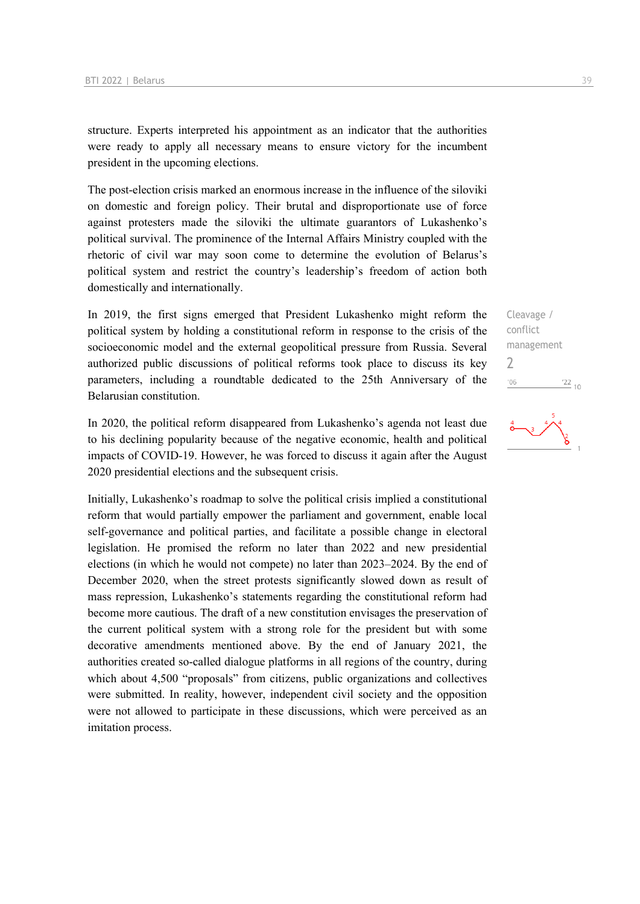structure. Experts interpreted his appointment as an indicator that the authorities were ready to apply all necessary means to ensure victory for the incumbent president in the upcoming elections.

The post-election crisis marked an enormous increase in the influence of the siloviki on domestic and foreign policy. Their brutal and disproportionate use of force against protesters made the siloviki the ultimate guarantors of Lukashenko's political survival. The prominence of the Internal Affairs Ministry coupled with the rhetoric of civil war may soon come to determine the evolution of Belarus's political system and restrict the country's leadership's freedom of action both domestically and internationally.

In 2019, the first signs emerged that President Lukashenko might reform the political system by holding a constitutional reform in response to the crisis of the socioeconomic model and the external geopolitical pressure from Russia. Several authorized public discussions of political reforms took place to discuss its key parameters, including a roundtable dedicated to the 25th Anniversary of the Belarusian constitution.

In 2020, the political reform disappeared from Lukashenko's agenda not least due to his declining popularity because of the negative economic, health and political impacts of COVID-19. However, he was forced to discuss it again after the August 2020 presidential elections and the subsequent crisis.

Initially, Lukashenko's roadmap to solve the political crisis implied a constitutional reform that would partially empower the parliament and government, enable local self-governance and political parties, and facilitate a possible change in electoral legislation. He promised the reform no later than 2022 and new presidential elections (in which he would not compete) no later than 2023–2024. By the end of December 2020, when the street protests significantly slowed down as result of mass repression, Lukashenko's statements regarding the constitutional reform had become more cautious. The draft of a new constitution envisages the preservation of the current political system with a strong role for the president but with some decorative amendments mentioned above. By the end of January 2021, the authorities created so-called dialogue platforms in all regions of the country, during which about 4,500 "proposals" from citizens, public organizations and collectives were submitted. In reality, however, independent civil society and the opposition were not allowed to participate in these discussions, which were perceived as an imitation process.

Cleavage / conflict management 2 $-06$  $\frac{22}{10}$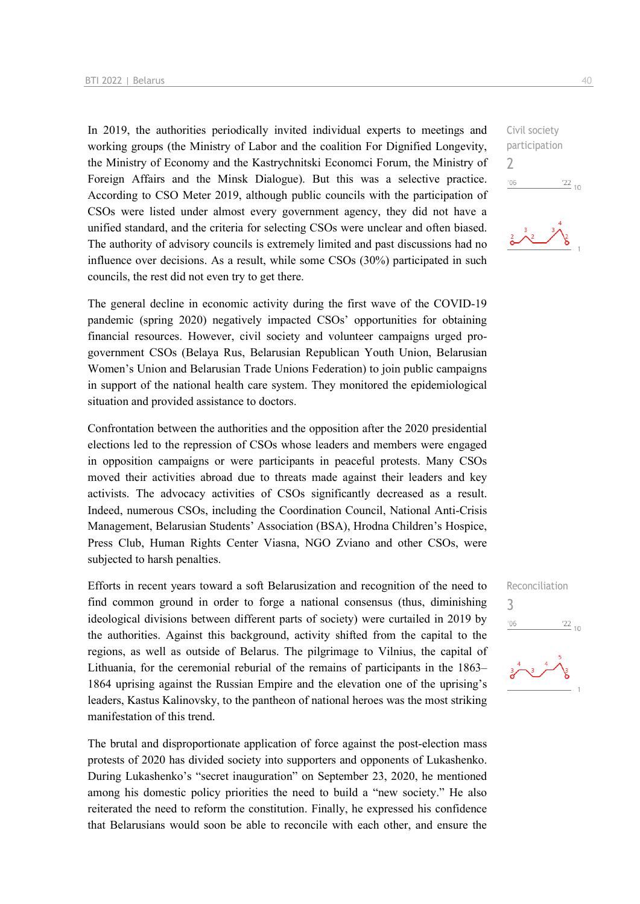In 2019, the authorities periodically invited individual experts to meetings and working groups (the Ministry of Labor and the coalition For Dignified Longevity, the Ministry of Economy and the Kastrychnitski Economci Forum, the Ministry of Foreign Affairs and the Minsk Dialogue). But this was a selective practice. According to CSO Meter 2019, although public councils with the participation of CSOs were listed under almost every government agency, they did not have a unified standard, and the criteria for selecting CSOs were unclear and often biased. The authority of advisory councils is extremely limited and past discussions had no influence over decisions. As a result, while some CSOs (30%) participated in such councils, the rest did not even try to get there.

The general decline in economic activity during the first wave of the COVID-19 pandemic (spring 2020) negatively impacted CSOs' opportunities for obtaining financial resources. However, civil society and volunteer campaigns urged progovernment CSOs (Belaya Rus, Belarusian Republican Youth Union, Belarusian Women's Union and Belarusian Trade Unions Federation) to join public campaigns in support of the national health care system. They monitored the epidemiological situation and provided assistance to doctors.

Confrontation between the authorities and the opposition after the 2020 presidential elections led to the repression of CSOs whose leaders and members were engaged in opposition campaigns or were participants in peaceful protests. Many CSOs moved their activities abroad due to threats made against their leaders and key activists. The advocacy activities of CSOs significantly decreased as a result. Indeed, numerous CSOs, including the Coordination Council, National Anti-Crisis Management, Belarusian Students' Association (BSA), Hrodna Children's Hospice, Press Club, Human Rights Center Viasna, NGO Zviano and other CSOs, were subjected to harsh penalties.

Efforts in recent years toward a soft Belarusization and recognition of the need to find common ground in order to forge a national consensus (thus, diminishing ideological divisions between different parts of society) were curtailed in 2019 by the authorities. Against this background, activity shifted from the capital to the regions, as well as outside of Belarus. The pilgrimage to Vilnius, the capital of Lithuania, for the ceremonial reburial of the remains of participants in the 1863– 1864 uprising against the Russian Empire and the elevation one of the uprising's leaders, Kastus Kalinovsky, to the pantheon of national heroes was the most striking manifestation of this trend.

The brutal and disproportionate application of force against the post-election mass protests of 2020 has divided society into supporters and opponents of Lukashenko. During Lukashenko's "secret inauguration" on September 23, 2020, he mentioned among his domestic policy priorities the need to build a "new society." He also reiterated the need to reform the constitution. Finally, he expressed his confidence that Belarusians would soon be able to reconcile with each other, and ensure the Civil society participation 2  $-06$  $\frac{22}{10}$ 





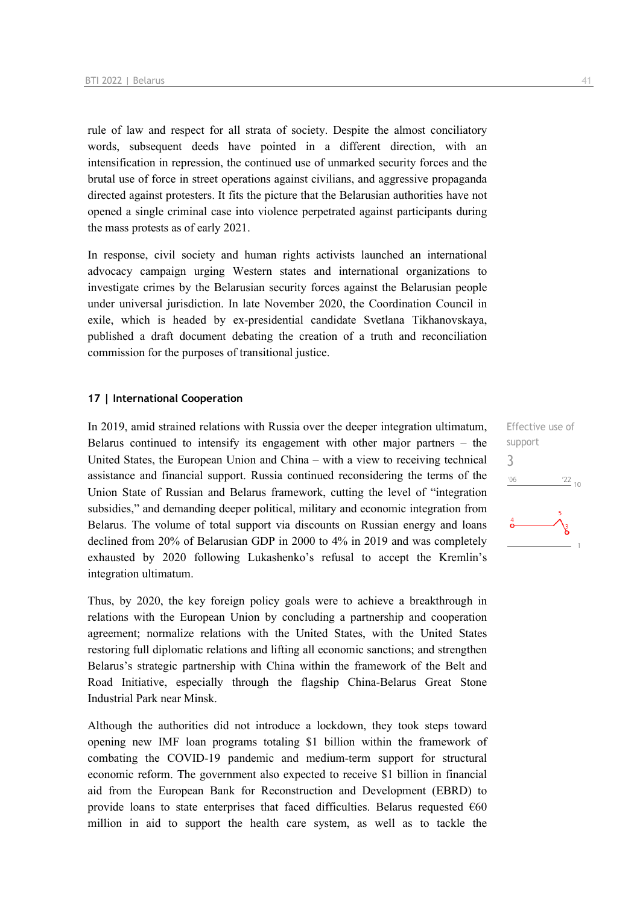rule of law and respect for all strata of society. Despite the almost conciliatory words, subsequent deeds have pointed in a different direction, with an intensification in repression, the continued use of unmarked security forces and the brutal use of force in street operations against civilians, and aggressive propaganda directed against protesters. It fits the picture that the Belarusian authorities have not opened a single criminal case into violence perpetrated against participants during the mass protests as of early 2021.

In response, civil society and human rights activists launched an international advocacy campaign urging Western states and international organizations to investigate crimes by the Belarusian security forces against the Belarusian people under universal jurisdiction. In late November 2020, the Coordination Council in exile, which is headed by ex-presidential candidate Svetlana Tikhanovskaya, published a draft document debating the creation of a truth and reconciliation commission for the purposes of transitional justice.

### **17 | International Cooperation**

In 2019, amid strained relations with Russia over the deeper integration ultimatum, Belarus continued to intensify its engagement with other major partners – the United States, the European Union and China – with a view to receiving technical assistance and financial support. Russia continued reconsidering the terms of the Union State of Russian and Belarus framework, cutting the level of "integration subsidies," and demanding deeper political, military and economic integration from Belarus. The volume of total support via discounts on Russian energy and loans declined from 20% of Belarusian GDP in 2000 to 4% in 2019 and was completely exhausted by 2020 following Lukashenko's refusal to accept the Kremlin's integration ultimatum.

Thus, by 2020, the key foreign policy goals were to achieve a breakthrough in relations with the European Union by concluding a partnership and cooperation agreement; normalize relations with the United States, with the United States restoring full diplomatic relations and lifting all economic sanctions; and strengthen Belarus's strategic partnership with China within the framework of the Belt and Road Initiative, especially through the flagship China-Belarus Great Stone Industrial Park near Minsk.

Although the authorities did not introduce a lockdown, they took steps toward opening new IMF loan programs totaling \$1 billion within the framework of combating the COVID-19 pandemic and medium-term support for structural economic reform. The government also expected to receive \$1 billion in financial aid from the European Bank for Reconstruction and Development (EBRD) to provide loans to state enterprises that faced difficulties. Belarus requested  $€60$ million in aid to support the health care system, as well as to tackle the

Effective use of support 3 $\frac{22}{10}$  $'06$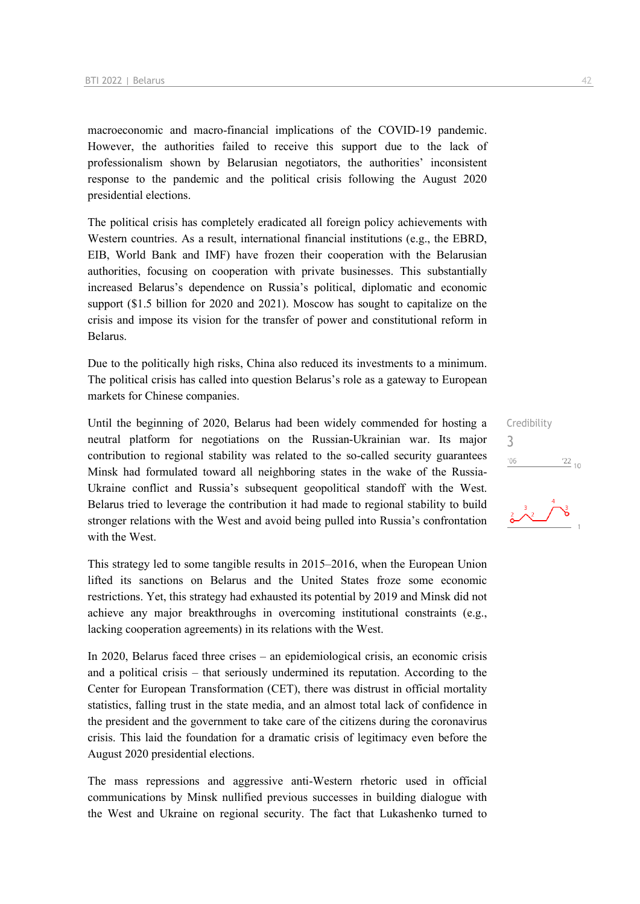macroeconomic and macro-financial implications of the COVID-19 pandemic. However, the authorities failed to receive this support due to the lack of professionalism shown by Belarusian negotiators, the authorities' inconsistent response to the pandemic and the political crisis following the August 2020 presidential elections.

The political crisis has completely eradicated all foreign policy achievements with Western countries. As a result, international financial institutions (e.g., the EBRD, EIB, World Bank and IMF) have frozen their cooperation with the Belarusian authorities, focusing on cooperation with private businesses. This substantially increased Belarus's dependence on Russia's political, diplomatic and economic support (\$1.5 billion for 2020 and 2021). Moscow has sought to capitalize on the crisis and impose its vision for the transfer of power and constitutional reform in Belarus.

Due to the politically high risks, China also reduced its investments to a minimum. The political crisis has called into question Belarus's role as a gateway to European markets for Chinese companies.

Until the beginning of 2020, Belarus had been widely commended for hosting a neutral platform for negotiations on the Russian-Ukrainian war. Its major contribution to regional stability was related to the so-called security guarantees Minsk had formulated toward all neighboring states in the wake of the Russia-Ukraine conflict and Russia's subsequent geopolitical standoff with the West. Belarus tried to leverage the contribution it had made to regional stability to build stronger relations with the West and avoid being pulled into Russia's confrontation with the West.

This strategy led to some tangible results in 2015–2016, when the European Union lifted its sanctions on Belarus and the United States froze some economic restrictions. Yet, this strategy had exhausted its potential by 2019 and Minsk did not achieve any major breakthroughs in overcoming institutional constraints (e.g., lacking cooperation agreements) in its relations with the West.

In 2020, Belarus faced three crises – an epidemiological crisis, an economic crisis and a political crisis – that seriously undermined its reputation. According to the Center for European Transformation (CET), there was distrust in official mortality statistics, falling trust in the state media, and an almost total lack of confidence in the president and the government to take care of the citizens during the coronavirus crisis. This laid the foundation for a dramatic crisis of legitimacy even before the August 2020 presidential elections.

The mass repressions and aggressive anti-Western rhetoric used in official communications by Minsk nullified previous successes in building dialogue with the West and Ukraine on regional security. The fact that Lukashenko turned to

Credibility 3 $\frac{22}{10}$  $'06$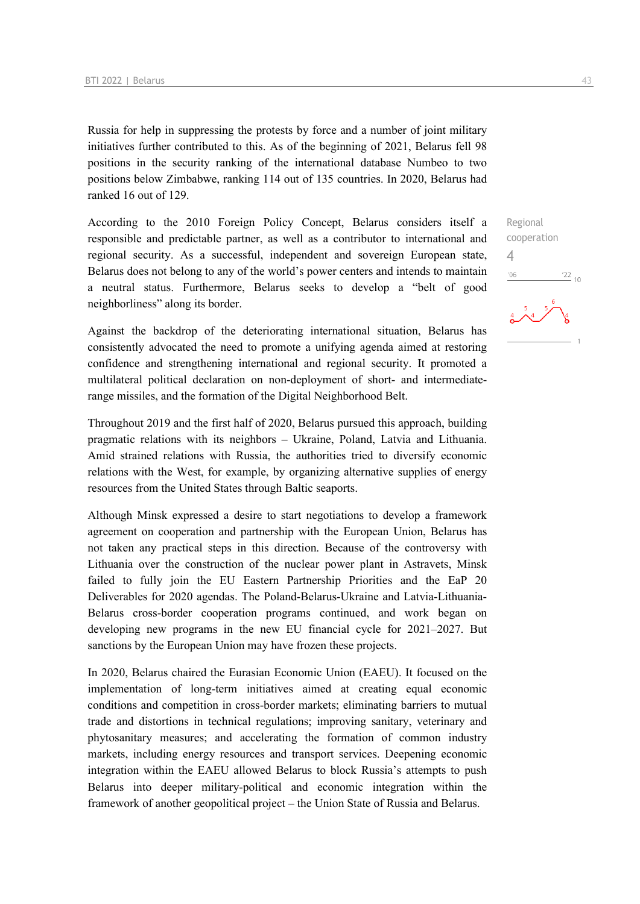Russia for help in suppressing the protests by force and a number of joint military initiatives further contributed to this. As of the beginning of 2021, Belarus fell 98 positions in the security ranking of the international database Numbeo to two positions below Zimbabwe, ranking 114 out of 135 countries. In 2020, Belarus had ranked 16 out of 129.

According to the 2010 Foreign Policy Concept, Belarus considers itself a responsible and predictable partner, as well as a contributor to international and regional security. As a successful, independent and sovereign European state, Belarus does not belong to any of the world's power centers and intends to maintain a neutral status. Furthermore, Belarus seeks to develop a "belt of good neighborliness" along its border.

Against the backdrop of the deteriorating international situation, Belarus has consistently advocated the need to promote a unifying agenda aimed at restoring confidence and strengthening international and regional security. It promoted a multilateral political declaration on non-deployment of short- and intermediaterange missiles, and the formation of the Digital Neighborhood Belt.

Throughout 2019 and the first half of 2020, Belarus pursued this approach, building pragmatic relations with its neighbors – Ukraine, Poland, Latvia and Lithuania. Amid strained relations with Russia, the authorities tried to diversify economic relations with the West, for example, by organizing alternative supplies of energy resources from the United States through Baltic seaports.

Although Minsk expressed a desire to start negotiations to develop a framework agreement on cooperation and partnership with the European Union, Belarus has not taken any practical steps in this direction. Because of the controversy with Lithuania over the construction of the nuclear power plant in Astravets, Minsk failed to fully join the EU Eastern Partnership Priorities and the EaP 20 Deliverables for 2020 agendas. The Poland-Belarus-Ukraine and Latvia-Lithuania-Belarus cross-border cooperation programs continued, and work began on developing new programs in the new EU financial cycle for 2021–2027. But sanctions by the European Union may have frozen these projects.

In 2020, Belarus chaired the Eurasian Economic Union (EAEU). It focused on the implementation of long-term initiatives aimed at creating equal economic conditions and competition in cross-border markets; eliminating barriers to mutual trade and distortions in technical regulations; improving sanitary, veterinary and phytosanitary measures; and accelerating the formation of common industry markets, including energy resources and transport services. Deepening economic integration within the EAEU allowed Belarus to block Russia's attempts to push Belarus into deeper military-political and economic integration within the framework of another geopolitical project – the Union State of Russia and Belarus.

4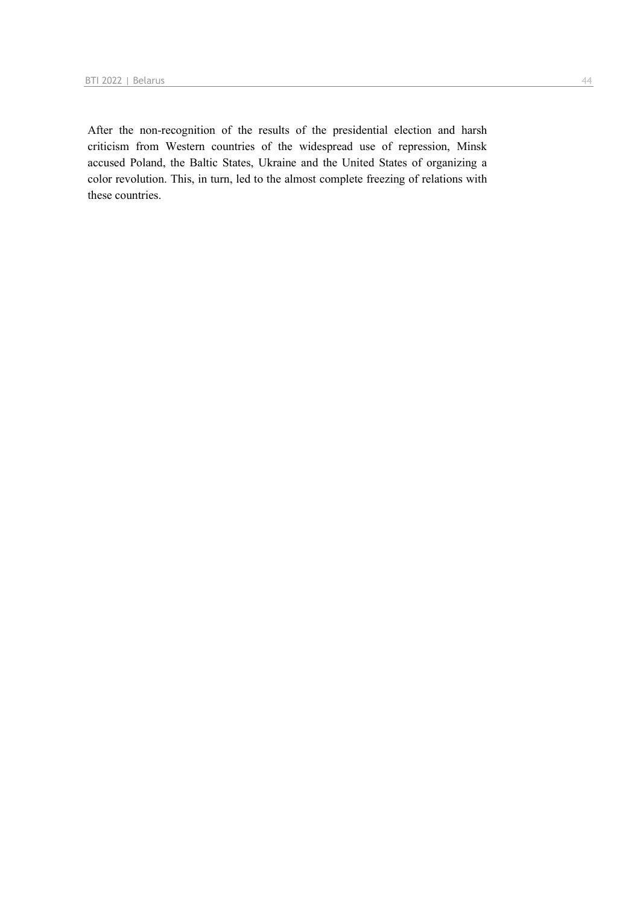After the non-recognition of the results of the presidential election and harsh criticism from Western countries of the widespread use of repression, Minsk accused Poland, the Baltic States, Ukraine and the United States of organizing a color revolution. This, in turn, led to the almost complete freezing of relations with these countries.